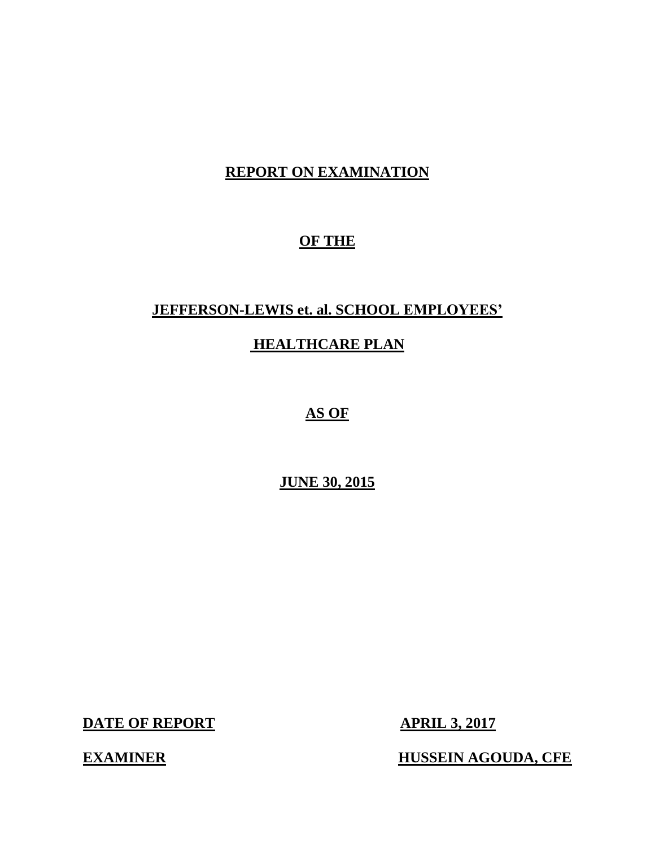## **REPORT ON EXAMINATION**

## **OF THE**

## **JEFFERSON-LEWIS et. al. SCHOOL EMPLOYEES'**

## **HEALTHCARE PLAN**

## **AS OF**

## **JUNE 30, 2015**

**DATE OF REPORT APRIL 3, 2017** 

**EXAMINER HUSSEIN AGOUDA, CFE**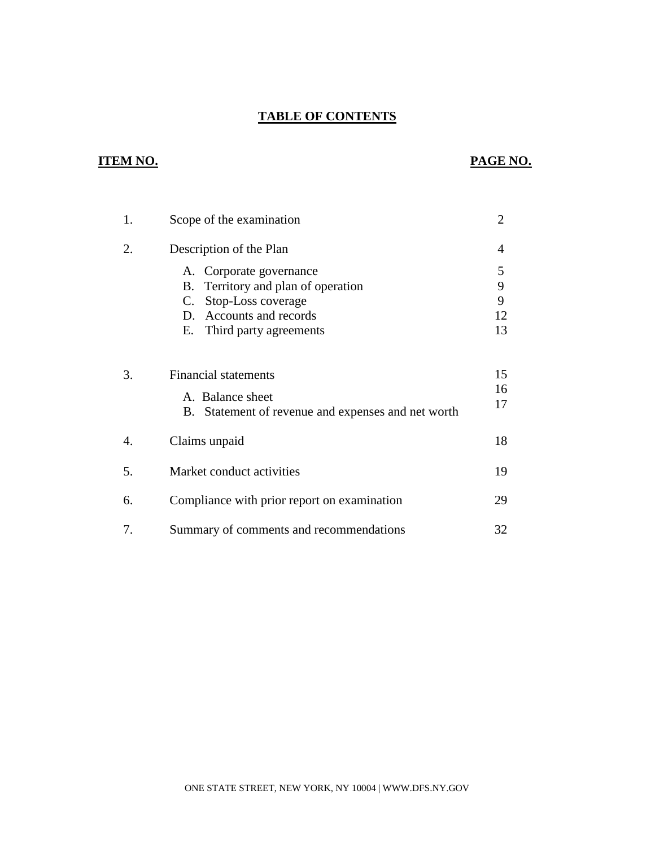## **TABLE OF CONTENTS**

## **ITEM NO. PAGE NO.**

| 1. | Scope of the examination                                                                                                                                | $\overline{2}$          |
|----|---------------------------------------------------------------------------------------------------------------------------------------------------------|-------------------------|
| 2. | Description of the Plan                                                                                                                                 | 4                       |
|    | A. Corporate governance<br>Territory and plan of operation<br>B.<br>Stop-Loss coverage<br>C.<br>D. Accounts and records<br>Е.<br>Third party agreements | 5<br>9<br>9<br>12<br>13 |
| 3. | <b>Financial statements</b><br>A. Balance sheet<br>Statement of revenue and expenses and net worth<br><b>B.</b>                                         | 15<br>16<br>17          |
| 4. | Claims unpaid                                                                                                                                           | 18                      |
| 5. | Market conduct activities                                                                                                                               | 19                      |
| 6. | Compliance with prior report on examination                                                                                                             | 29                      |
| 7. | Summary of comments and recommendations                                                                                                                 | 32                      |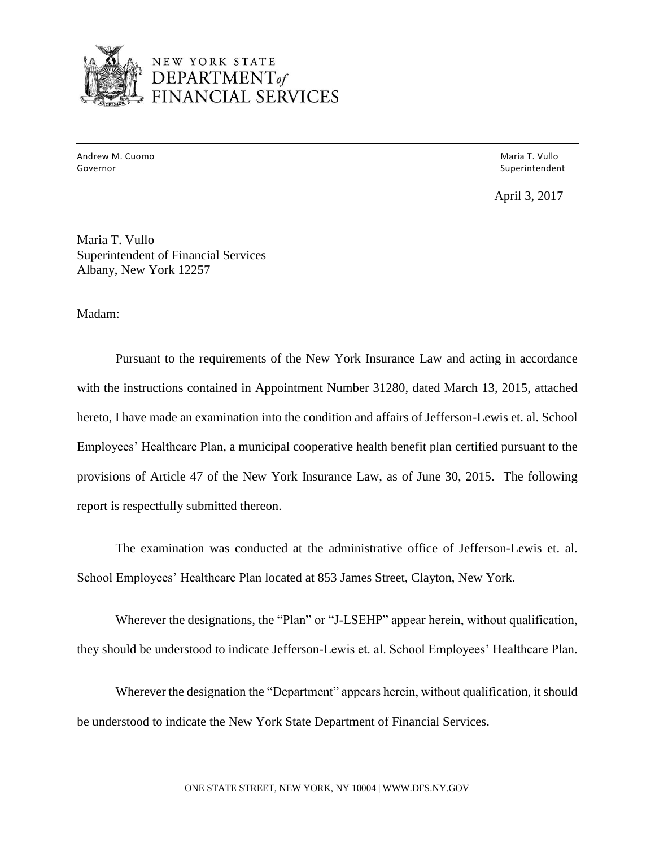

# NEW YORK STATE *DEPARTMENTof*<br>FINANCIAL SERVICES

Andrew M. Cuomo National Andrew Maria T. Vullo National Andrew Maria T. Vullo National Andrew Maria T. Vullo Governor Governor Superintendent and Superintendent and Superintendent and Superintendent and Superintendent and Superintendent

April 3, 2017

 Albany, New York 12257 Maria T. Vullo Superintendent of Financial Services

Madam:

 Pursuant to the requirements of the New York Insurance Law and acting in accordance hereto, I have made an examination into the condition and affairs of Jefferson-Lewis et. al. School Employees' Healthcare Plan, a municipal cooperative health benefit plan certified pursuant to the provisions of Article 47 of the New York Insurance Law, as of June 30, 2015. The following with the instructions contained in Appointment Number 31280, dated March 13, 2015, attached report is respectfully submitted thereon.

 The examination was conducted at the administrative office of Jefferson-Lewis et. al. School Employees' Healthcare Plan located at 853 James Street, Clayton, New York.

Wherever the designations, the "Plan" or "J-LSEHP" appear herein, without qualification, they should be understood to indicate Jefferson-Lewis et. al. School Employees' Healthcare Plan.

 Wherever the designation the "Department" appears herein, without qualification, it should be understood to indicate the New York State Department of Financial Services.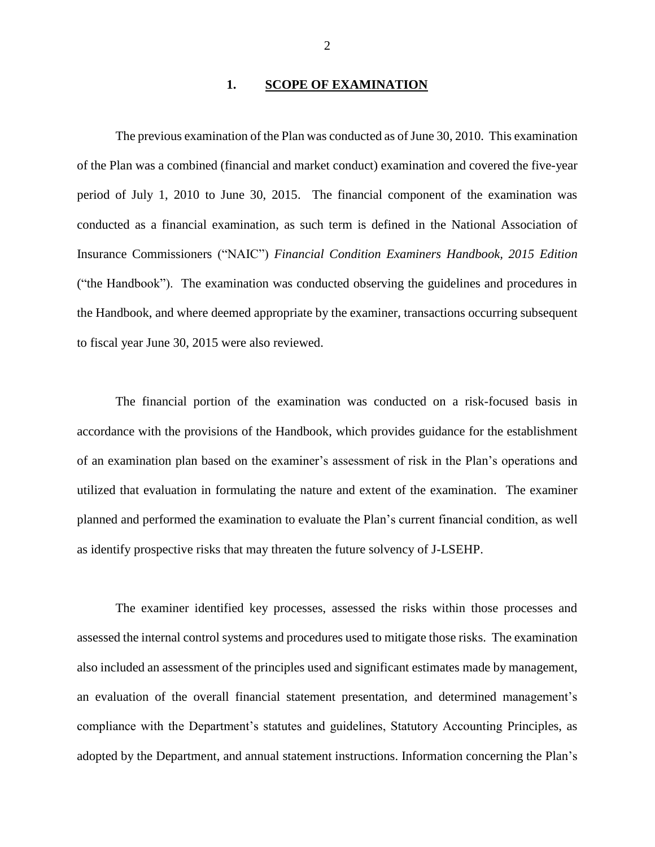#### **1. SCOPE OF EXAMINATION**

<span id="page-3-0"></span> The previous examination of the Plan was conducted as of June 30, 2010. This examination of the Plan was a combined (financial and market conduct) examination and covered the five-year period of July 1, 2010 to June 30, 2015. The financial component of the examination was conducted as a financial examination, as such term is defined in the National Association of ("the Handbook"). The examination was conducted observing the guidelines and procedures in the Handbook, and where deemed appropriate by the examiner, transactions occurring subsequent to fiscal year June 30, 2015 were also reviewed. Insurance Commissioners ("NAIC") *Financial Condition Examiners Handbook, 2015 Edition* 

 accordance with the provisions of the Handbook, which provides guidance for the establishment utilized that evaluation in formulating the nature and extent of the examination. The examiner planned and performed the examination to evaluate the Plan's current financial condition, as well as identify prospective risks that may threaten the future solvency of J-LSEHP. The financial portion of the examination was conducted on a risk-focused basis in of an examination plan based on the examiner's assessment of risk in the Plan's operations and

 assessed the internal control systems and procedures used to mitigate those risks. The examination also included an assessment of the principles used and significant estimates made by management, compliance with the Department's statutes and guidelines, Statutory Accounting Principles, as The examiner identified key processes, assessed the risks within those processes and an evaluation of the overall financial statement presentation, and determined management's adopted by the Department, and annual statement instructions. Information concerning the Plan's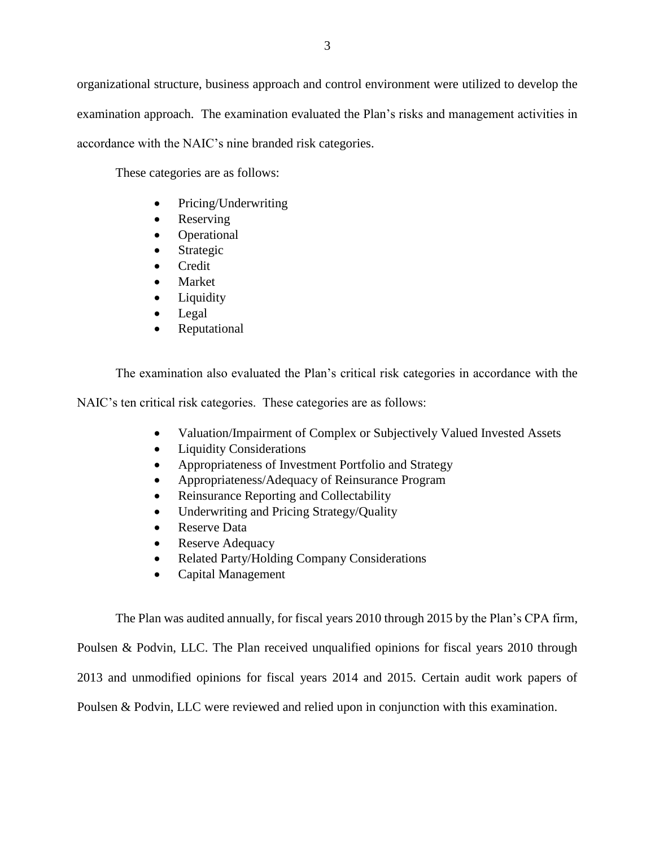examination approach. The examination evaluated the Plan's risks and management activities in organizational structure, business approach and control environment were utilized to develop the accordance with the NAIC's nine branded risk categories.

These categories are as follows:

- Pricing/Underwriting
- Reserving
- Operational
- Strategic
- Credit
- Market
- Liquidity
- Legal
- Reputational

The examination also evaluated the Plan's critical risk categories in accordance with the

NAIC's ten critical risk categories. These categories are as follows:

- Valuation/Impairment of Complex or Subjectively Valued Invested Assets
- Liquidity Considerations
- Appropriateness of Investment Portfolio and Strategy
- Appropriateness/Adequacy of Reinsurance Program
- Reinsurance Reporting and Collectability
- Underwriting and Pricing Strategy/Quality
- Reserve Data
- Reserve Adequacy
- Related Party/Holding Company Considerations
- Capital Management

The Plan was audited annually, for fiscal years 2010 through 2015 by the Plan's CPA firm,

Poulsen & Podvin, LLC. The Plan received unqualified opinions for fiscal years 2010 through

2013 and unmodified opinions for fiscal years 2014 and 2015. Certain audit work papers of

Poulsen & Podvin, LLC were reviewed and relied upon in conjunction with this examination.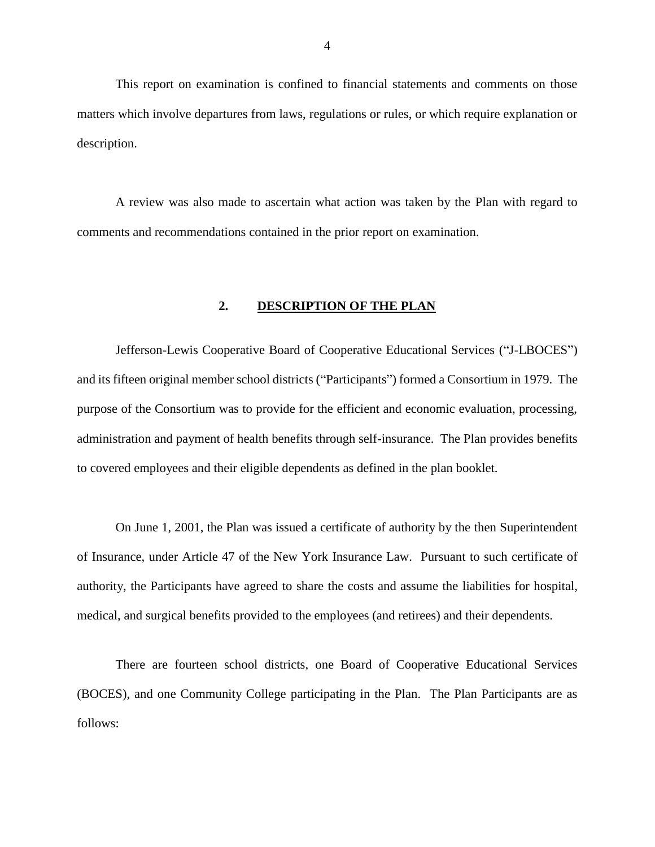<span id="page-5-0"></span>This report on examination is confined to financial statements and comments on those matters which involve departures from laws, regulations or rules, or which require explanation or description.

 A review was also made to ascertain what action was taken by the Plan with regard to comments and recommendations contained in the prior report on examination.

### 2. **DESCRIPTION OF THE PLAN**

 and its fifteen original member school districts ("Participants") formed a Consortium in 1979. The purpose of the Consortium was to provide for the efficient and economic evaluation, processing, Jefferson-Lewis Cooperative Board of Cooperative Educational Services ("J-LBOCES") administration and payment of health benefits through self-insurance. The Plan provides benefits to covered employees and their eligible dependents as defined in the plan booklet.

 On June 1, 2001, the Plan was issued a certificate of authority by the then Superintendent of Insurance, under Article 47 of the New York Insurance Law. Pursuant to such certificate of authority, the Participants have agreed to share the costs and assume the liabilities for hospital, medical, and surgical benefits provided to the employees (and retirees) and their dependents.

 There are fourteen school districts, one Board of Cooperative Educational Services (BOCES), and one Community College participating in the Plan. The Plan Participants are as follows: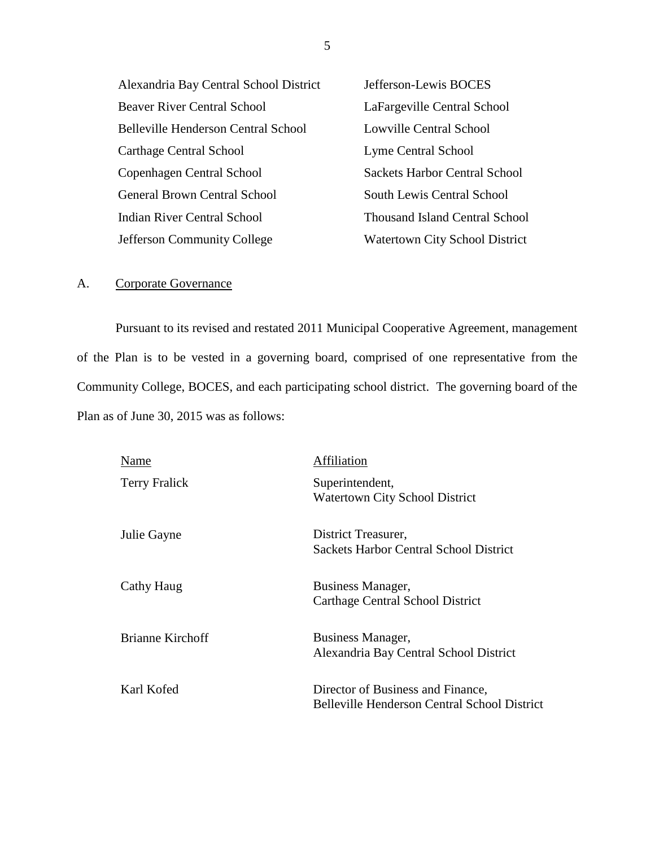<span id="page-6-0"></span>

| Alexandria Bay Central School District | Jefferson-Lewis BOCES                 |
|----------------------------------------|---------------------------------------|
| <b>Beaver River Central School</b>     | LaFargeville Central School           |
| Belleville Henderson Central School    | Lowville Central School               |
| Carthage Central School                | Lyme Central School                   |
| Copenhagen Central School              | <b>Sackets Harbor Central School</b>  |
| <b>General Brown Central School</b>    | South Lewis Central School            |
| Indian River Central School            | Thousand Island Central School        |
| <b>Jefferson Community College</b>     | <b>Watertown City School District</b> |

## A. Corporate Governance

 Pursuant to its revised and restated 2011 Municipal Cooperative Agreement, management of the Plan is to be vested in a governing board, comprised of one representative from the Community College, BOCES, and each participating school district. The governing board of the Plan as of June 30, 2015 was as follows:

| Name                    | Affiliation                                                                              |
|-------------------------|------------------------------------------------------------------------------------------|
| <b>Terry Fralick</b>    | Superintendent,<br>Watertown City School District                                        |
| Julie Gayne             | District Treasurer,<br>Sackets Harbor Central School District                            |
| Cathy Haug              | Business Manager,<br>Carthage Central School District                                    |
| <b>Brianne Kirchoff</b> | Business Manager,<br>Alexandria Bay Central School District                              |
| Karl Kofed              | Director of Business and Finance,<br><b>Belleville Henderson Central School District</b> |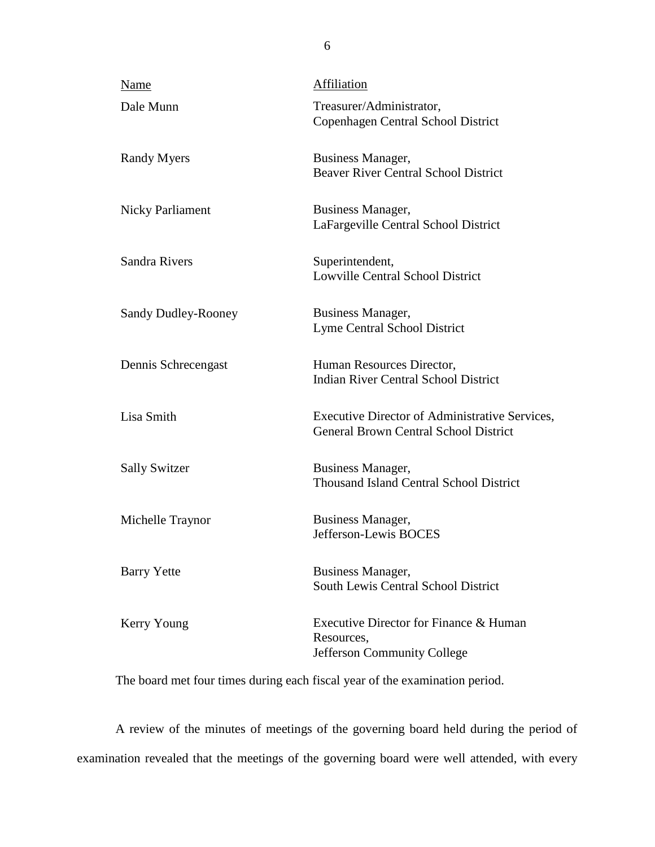| Name                       | <b>Affiliation</b>                                                                             |
|----------------------------|------------------------------------------------------------------------------------------------|
| Dale Munn                  | Treasurer/Administrator,<br>Copenhagen Central School District                                 |
| <b>Randy Myers</b>         | Business Manager,<br><b>Beaver River Central School District</b>                               |
| <b>Nicky Parliament</b>    | Business Manager,<br>LaFargeville Central School District                                      |
| Sandra Rivers              | Superintendent,<br><b>Lowville Central School District</b>                                     |
| <b>Sandy Dudley-Rooney</b> | Business Manager,<br><b>Lyme Central School District</b>                                       |
| Dennis Schreeengast        | Human Resources Director,<br><b>Indian River Central School District</b>                       |
| Lisa Smith                 | Executive Director of Administrative Services,<br><b>General Brown Central School District</b> |
| <b>Sally Switzer</b>       | <b>Business Manager,</b><br><b>Thousand Island Central School District</b>                     |
| Michelle Traynor           | Business Manager,<br>Jefferson-Lewis BOCES                                                     |
| <b>Barry Yette</b>         | <b>Business Manager,</b><br>South Lewis Central School District                                |
| Kerry Young                | Executive Director for Finance & Human<br>Resources.<br>Jefferson Community College            |

The board met four times during each fiscal year of the examination period.

 examination revealed that the meetings of the governing board were well attended, with every A review of the minutes of meetings of the governing board held during the period of

6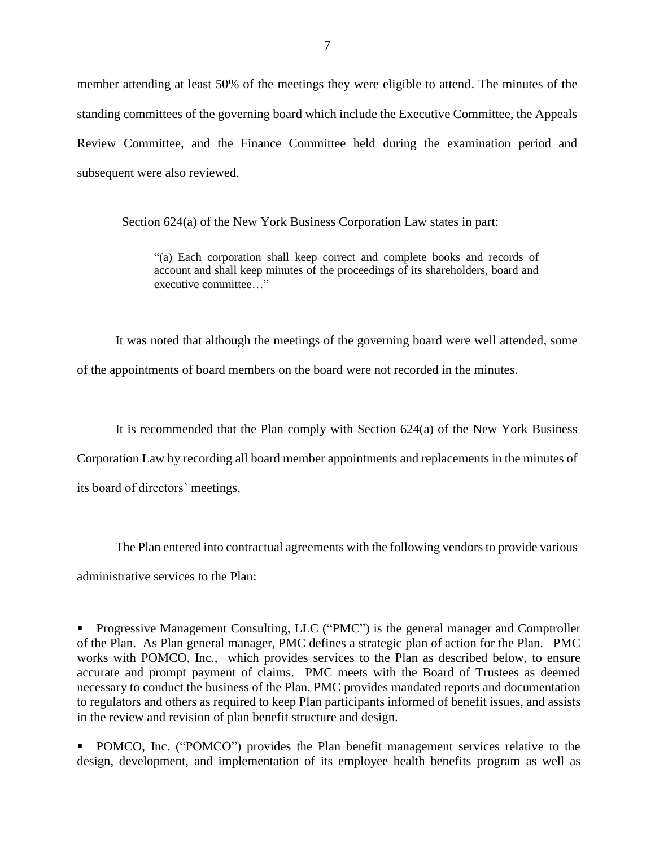member attending at least 50% of the meetings they were eligible to attend. The minutes of the standing committees of the governing board which include the Executive Committee, the Appeals Review Committee, and the Finance Committee held during the examination period and subsequent were also reviewed.

Section 624(a) of the New York Business Corporation Law states in part:

 account and shall keep minutes of the proceedings of its shareholders, board and "(a) Each corporation shall keep correct and complete books and records of executive committee…"

 It was noted that although the meetings of the governing board were well attended, some of the appointments of board members on the board were not recorded in the minutes.

 It is recommended that the Plan comply with Section 624(a) of the New York Business Corporation Law by recording all board member appointments and replacements in the minutes of its board of directors' meetings.

 The Plan entered into contractual agreements with the following vendors to provide various administrative services to the Plan:

 of the Plan. As Plan general manager, PMC defines a strategic plan of action for the Plan. PMC works with POMCO, Inc., which provides services to the Plan as described below, to ensure accurate and prompt payment of claims. PMC meets with the Board of Trustees as deemed Progressive Management Consulting, LLC ("PMC") is the general manager and Comptroller necessary to conduct the business of the Plan. PMC provides mandated reports and documentation to regulators and others as required to keep Plan participants informed of benefit issues, and assists in the review and revision of plan benefit structure and design.

 design, development, and implementation of its employee health benefits program as well as **POMCO**, Inc. ("POMCO") provides the Plan benefit management services relative to the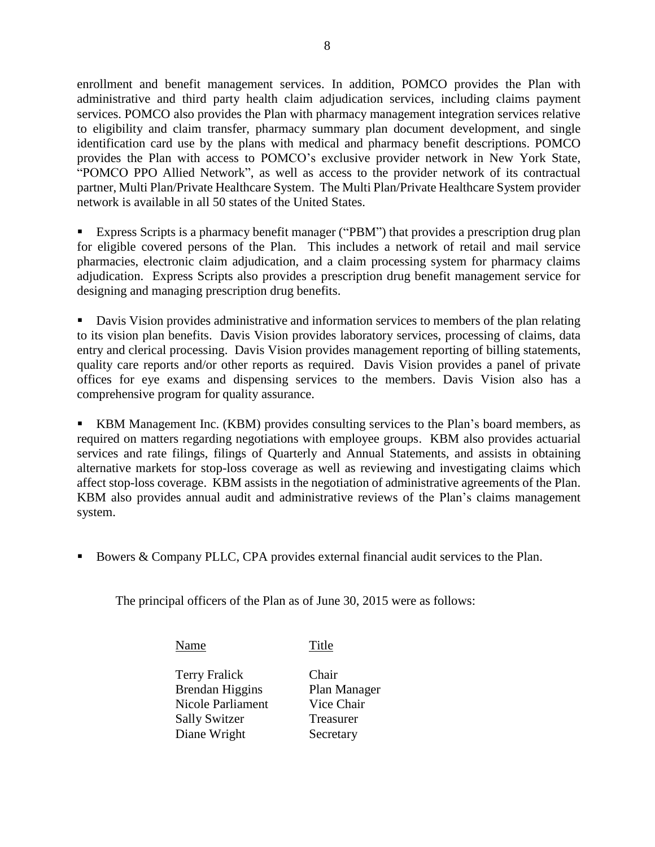administrative and third party health claim adjudication services, including claims payment to eligibility and claim transfer, pharmacy summary plan document development, and single identification card use by the plans with medical and pharmacy benefit descriptions. POMCO provides the Plan with access to POMCO's exclusive provider network in New York State, "POMCO PPO Allied Network", as well as access to the provider network of its contractual partner, Multi Plan/Private Healthcare System. The Multi Plan/Private Healthcare System provider enrollment and benefit management services. In addition, POMCO provides the Plan with services. POMCO also provides the Plan with pharmacy management integration services relative network is available in all 50 states of the United States.

**Express Scripts is a pharmacy benefit manager ("PBM") that provides a prescription drug plan**  for eligible covered persons of the Plan. This includes a network of retail and mail service pharmacies, electronic claim adjudication, and a claim processing system for pharmacy claims adjudication. Express Scripts also provides a prescription drug benefit management service for designing and managing prescription drug benefits.

 to its vision plan benefits. Davis Vision provides laboratory services, processing of claims, data quality care reports and/or other reports as required. Davis Vision provides a panel of private offices for eye exams and dispensing services to the members. Davis Vision also has a comprehensive program for quality assurance. Davis Vision provides administrative and information services to members of the plan relating entry and clerical processing. Davis Vision provides management reporting of billing statements,

 KBM Management Inc. (KBM) provides consulting services to the Plan's board members, as required on matters regarding negotiations with employee groups. KBM also provides actuarial services and rate filings, filings of Quarterly and Annual Statements, and assists in obtaining alternative markets for stop-loss coverage as well as reviewing and investigating claims which affect stop-loss coverage. KBM assists in the negotiation of administrative agreements of the Plan. KBM also provides annual audit and administrative reviews of the Plan's claims management system.

Bowers & Company PLLC, CPA provides external financial audit services to the Plan.

The principal officers of the Plan as of June 30, 2015 were as follows:

Name Title

Terry Fralick Chair Brendan Higgins Plan Manager Nicole Parliament Vice Chair Sally Switzer Treasurer Diane Wright Secretary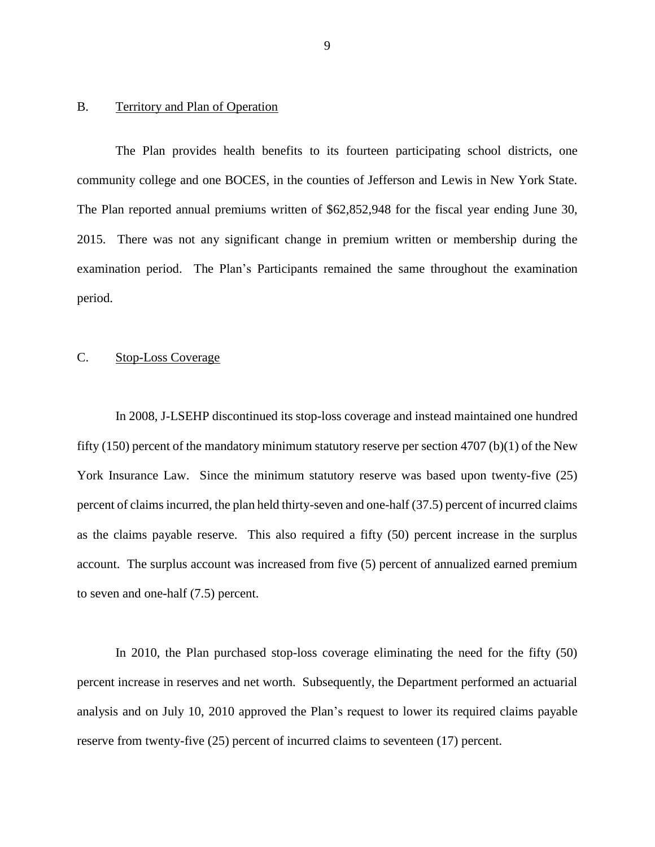## <span id="page-10-0"></span>B. Territory and Plan of Operation

 The Plan provides health benefits to its fourteen participating school districts, one community college and one BOCES, in the counties of Jefferson and Lewis in New York State. The Plan reported annual premiums written of \$62,852,948 for the fiscal year ending June 30, 2015. There was not any significant change in premium written or membership during the examination period. The Plan's Participants remained the same throughout the examination period.

### C. Stop-Loss Coverage

 In 2008, J-LSEHP discontinued its stop-loss coverage and instead maintained one hundred fifty (150) percent of the mandatory minimum statutory reserve per section 4707 (b)(1) of the New York Insurance Law. Since the minimum statutory reserve was based upon twenty-five (25) percent of claims incurred, the plan held thirty-seven and one-half (37.5) percent of incurred claims as the claims payable reserve. This also required a fifty (50) percent increase in the surplus account. The surplus account was increased from five (5) percent of annualized earned premium to seven and one-half (7.5) percent.

 In 2010, the Plan purchased stop-loss coverage eliminating the need for the fifty (50) analysis and on July 10, 2010 approved the Plan's request to lower its required claims payable percent increase in reserves and net worth. Subsequently, the Department performed an actuarial reserve from twenty-five (25) percent of incurred claims to seventeen (17) percent.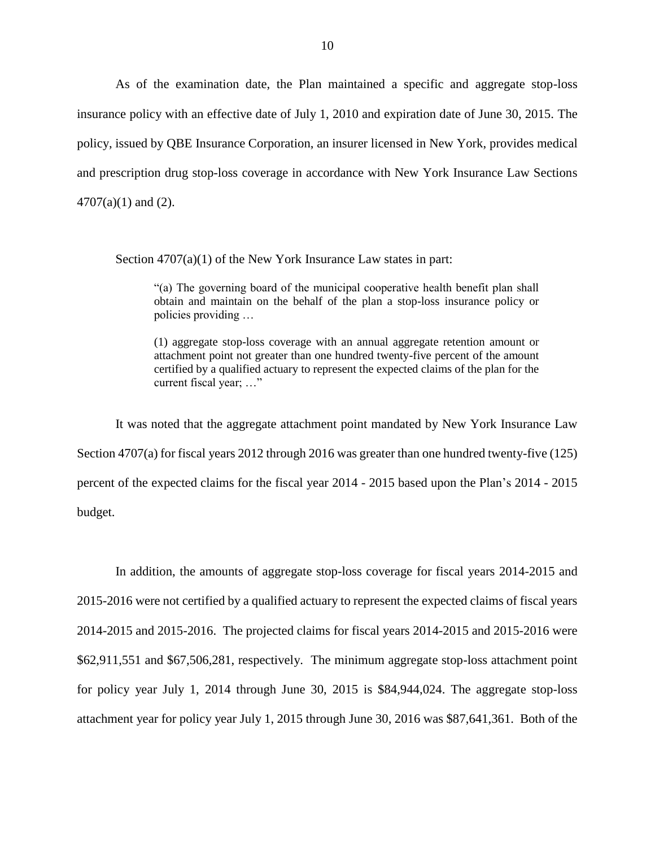As of the examination date, the Plan maintained a specific and aggregate stop-loss insurance policy with an effective date of July 1, 2010 and expiration date of June 30, 2015. The and prescription drug stop-loss coverage in accordance with New York Insurance Law Sections  $4707(a)(1)$  and (2). policy, issued by QBE Insurance Corporation, an insurer licensed in New York, provides medical

Section 4707(a)(1) of the New York Insurance Law states in part:

 "(a) The governing board of the municipal cooperative health benefit plan shall obtain and maintain on the behalf of the plan a stop-loss insurance policy or policies providing …

 (1) aggregate stop-loss coverage with an annual aggregate retention amount or attachment point not greater than one hundred twenty-five percent of the amount certified by a qualified actuary to represent the expected claims of the plan for the current fiscal year; …"

 It was noted that the aggregate attachment point mandated by New York Insurance Law Section 4707(a) for fiscal years 2012 through 2016 was greater than one hundred twenty-five (125) percent of the expected claims for the fiscal year 2014 - 2015 based upon the Plan's 2014 - 2015 budget. budget.<br>In addition, the amounts of aggregate stop-loss coverage for fiscal years 2014-2015 and

 2015-2016 were not certified by a qualified actuary to represent the expected claims of fiscal years 2014-2015 and 2015-2016. The projected claims for fiscal years 2014-2015 and 2015-2016 were \$62,911,551 and \$67,506,281, respectively. The minimum aggregate stop-loss attachment point for policy year July 1, 2014 through June 30, 2015 is \$84,944,024. The aggregate stop-loss attachment year for policy year July 1, 2015 through June 30, 2016 was \$87,641,361. Both of the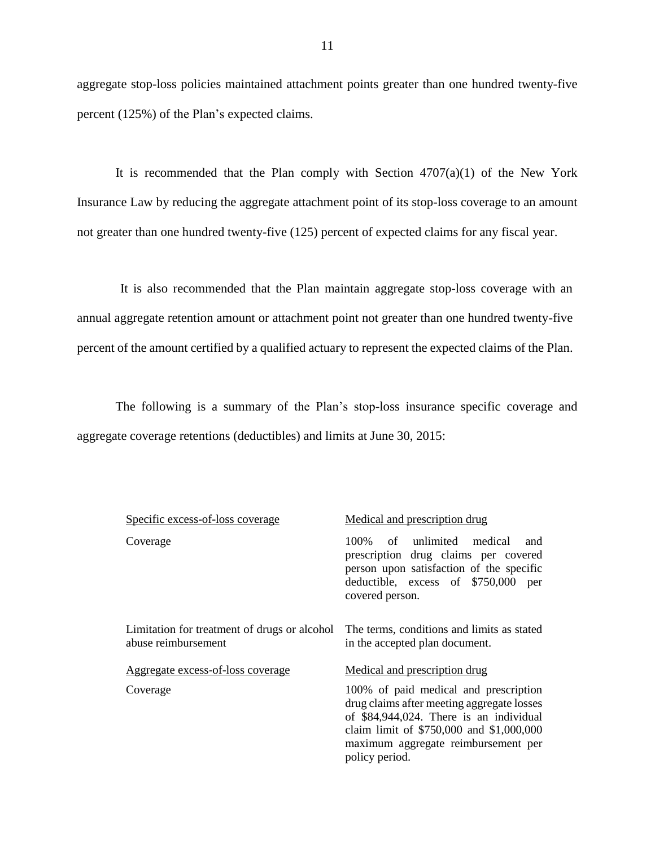aggregate stop-loss policies maintained attachment points greater than one hundred twenty-five percent (125%) of the Plan's expected claims.

It is recommended that the Plan comply with Section  $4707(a)(1)$  of the New York Insurance Law by reducing the aggregate attachment point of its stop-loss coverage to an amount not greater than one hundred twenty-five (125) percent of expected claims for any fiscal year.

 It is also recommended that the Plan maintain aggregate stop-loss coverage with an annual aggregate retention amount or attachment point not greater than one hundred twenty-five percent of the amount certified by a qualified actuary to represent the expected claims of the Plan.

 The following is a summary of the Plan's stop-loss insurance specific coverage and aggregate coverage retentions (deductibles) and limits at June 30, 2015:

| Specific excess-of-loss coverage                                    | Medical and prescription drug                                                                                                                                                                                                       |  |  |
|---------------------------------------------------------------------|-------------------------------------------------------------------------------------------------------------------------------------------------------------------------------------------------------------------------------------|--|--|
| Coverage                                                            | unlimited medical<br>100%<br>of<br>and<br>prescription drug claims per covered<br>person upon satisfaction of the specific<br>deductible, excess of \$750,000<br>per<br>covered person.                                             |  |  |
| Limitation for treatment of drugs or alcohol<br>abuse reimbursement | The terms, conditions and limits as stated<br>in the accepted plan document.                                                                                                                                                        |  |  |
| Aggregate excess-of-loss coverage                                   | Medical and prescription drug                                                                                                                                                                                                       |  |  |
| Coverage                                                            | 100% of paid medical and prescription<br>drug claims after meeting aggregate losses<br>of \$84,944,024. There is an individual<br>claim limit of \$750,000 and \$1,000,000<br>maximum aggregate reimbursement per<br>policy period. |  |  |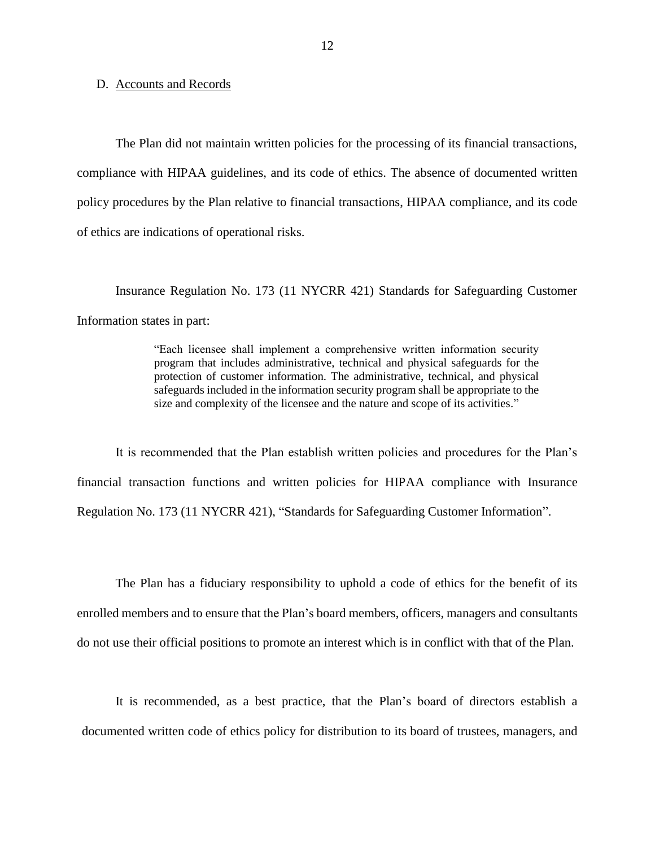#### <span id="page-13-0"></span>D. Accounts and Records

 The Plan did not maintain written policies for the processing of its financial transactions, compliance with HIPAA guidelines, and its code of ethics. The absence of documented written policy procedures by the Plan relative to financial transactions, HIPAA compliance, and its code of ethics are indications of operational risks.

 Insurance Regulation No. 173 (11 NYCRR 421) Standards for Safeguarding Customer Information states in part:

> "Each licensee shall implement a comprehensive written information security program that includes administrative, technical and physical safeguards for the protection of customer information. The administrative, technical, and physical safeguards included in the information security program shall be appropriate to the size and complexity of the licensee and the nature and scope of its activities."

 It is recommended that the Plan establish written policies and procedures for the Plan's financial transaction functions and written policies for HIPAA compliance with Insurance Regulation No. 173 (11 NYCRR 421), "Standards for Safeguarding Customer Information".

 The Plan has a fiduciary responsibility to uphold a code of ethics for the benefit of its enrolled members and to ensure that the Plan's board members, officers, managers and consultants do not use their official positions to promote an interest which is in conflict with that of the Plan.

 It is recommended, as a best practice, that the Plan's board of directors establish a documented written code of ethics policy for distribution to its board of trustees, managers, and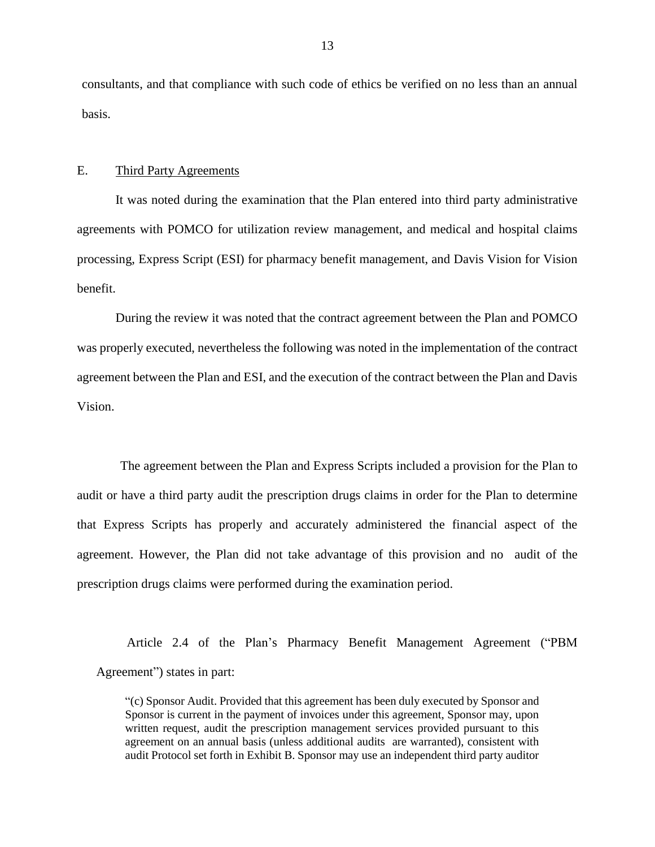<span id="page-14-0"></span> consultants, and that compliance with such code of ethics be verified on no less than an annual basis.

### E. Third Party Agreements

 It was noted during the examination that the Plan entered into third party administrative agreements with POMCO for utilization review management, and medical and hospital claims processing, Express Script (ESI) for pharmacy benefit management, and Davis Vision for Vision benefit.

 was properly executed, nevertheless the following was noted in the implementation of the contract Vision. Vision. The agreement between the Plan and Express Scripts included a provision for the Plan to During the review it was noted that the contract agreement between the Plan and POMCO agreement between the Plan and ESI, and the execution of the contract between the Plan and Davis

 audit or have a third party audit the prescription drugs claims in order for the Plan to determine agreement. However, the Plan did not take advantage of this provision and no audit of the that Express Scripts has properly and accurately administered the financial aspect of the prescription drugs claims were performed during the examination period.

Article 2.4 of the Plan's Pharmacy Benefit Management Agreement ("PBM Agreement") states in part:

 "(c) Sponsor Audit. Provided that this agreement has been duly executed by Sponsor and Sponsor is current in the payment of invoices under this agreement, Sponsor may, upon written request, audit the prescription management services provided pursuant to this agreement on an annual basis (unless additional audits are warranted), consistent with audit Protocol set forth in Exhibit B. Sponsor may use an independent third party auditor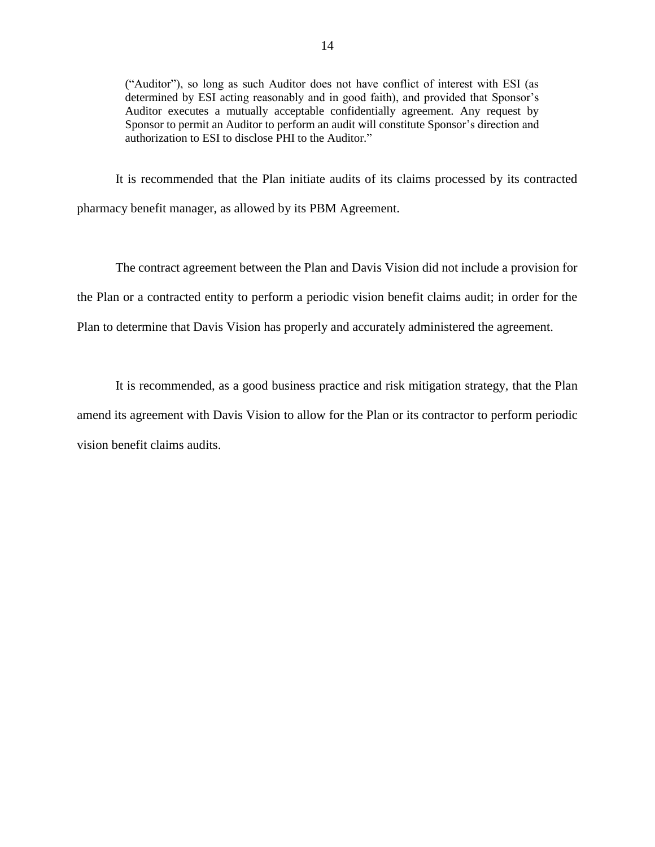("Auditor"), so long as such Auditor does not have conflict of interest with ESI (as determined by ESI acting reasonably and in good faith), and provided that Sponsor's Auditor executes a mutually acceptable confidentially agreement. Any request by Sponsor to permit an Auditor to perform an audit will constitute Sponsor's direction and authorization to ESI to disclose PHI to the Auditor."

 It is recommended that the Plan initiate audits of its claims processed by its contracted pharmacy benefit manager, as allowed by its PBM Agreement.

 the Plan or a contracted entity to perform a periodic vision benefit claims audit; in order for the The contract agreement between the Plan and Davis Vision did not include a provision for Plan to determine that Davis Vision has properly and accurately administered the agreement.

 It is recommended, as a good business practice and risk mitigation strategy, that the Plan amend its agreement with Davis Vision to allow for the Plan or its contractor to perform periodic vision benefit claims audits.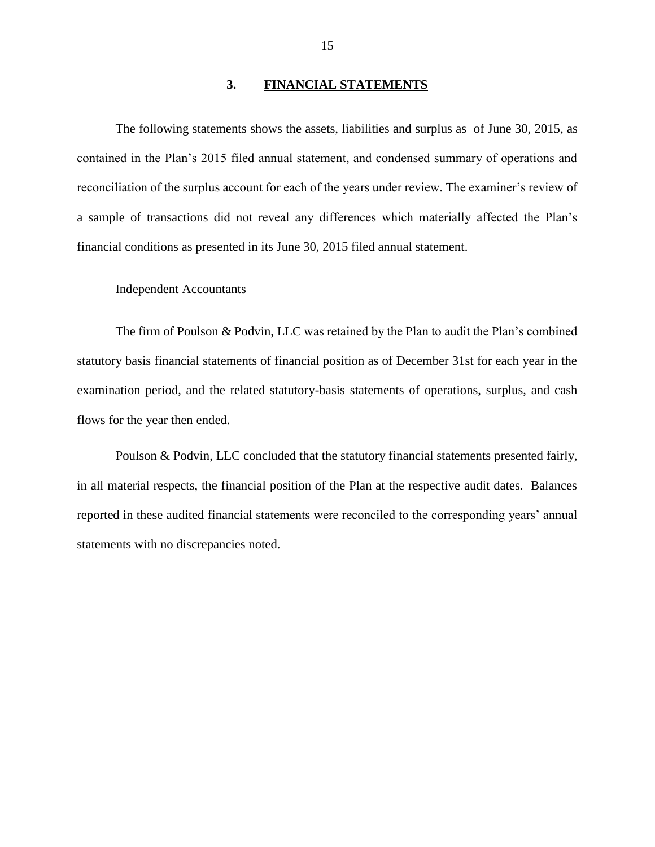## **3. FINANCIAL STATEMENTS**

<span id="page-16-0"></span> The following statements shows the assets, liabilities and surplus as of June 30, 2015, as contained in the Plan's 2015 filed annual statement, and condensed summary of operations and a sample of transactions did not reveal any differences which materially affected the Plan's reconciliation of the surplus account for each of the years under review. The examiner's review of financial conditions as presented in its June 30, 2015 filed annual statement.

## Independent Accountants

 The firm of Poulson & Podvin, LLC was retained by the Plan to audit the Plan's combined statutory basis financial statements of financial position as of December 31st for each year in the examination period, and the related statutory-basis statements of operations, surplus, and cash flows for the year then ended.

 Poulson & Podvin, LLC concluded that the statutory financial statements presented fairly, in all material respects, the financial position of the Plan at the respective audit dates. Balances reported in these audited financial statements were reconciled to the corresponding years' annual statements with no discrepancies noted.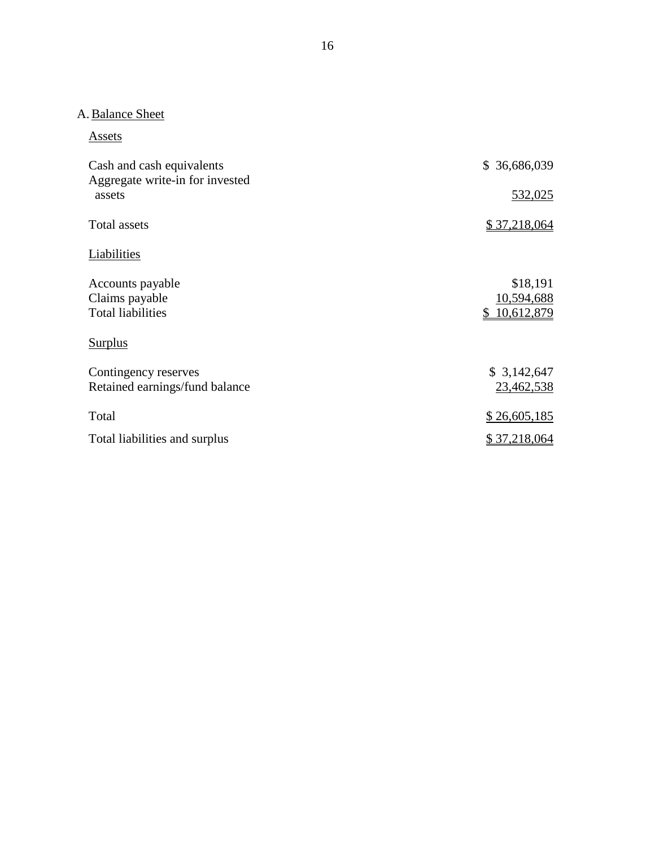## A. Balance Sheet

Assets

| Cash and cash equivalents       | \$36,686,039 |
|---------------------------------|--------------|
| Aggregate write-in for invested |              |
| assets                          | 532,025      |
| Total assets                    | \$37,218,064 |
| Liabilities                     |              |
| Accounts payable                | \$18,191     |
| Claims payable                  | 10,594,688   |
| <b>Total liabilities</b>        | 10,612,879   |
| <b>Surplus</b>                  |              |
| Contingency reserves            | \$3,142,647  |
| Retained earnings/fund balance  | 23,462,538   |
| Total                           | \$26,605,185 |
| Total liabilities and surplus   | \$37,218,064 |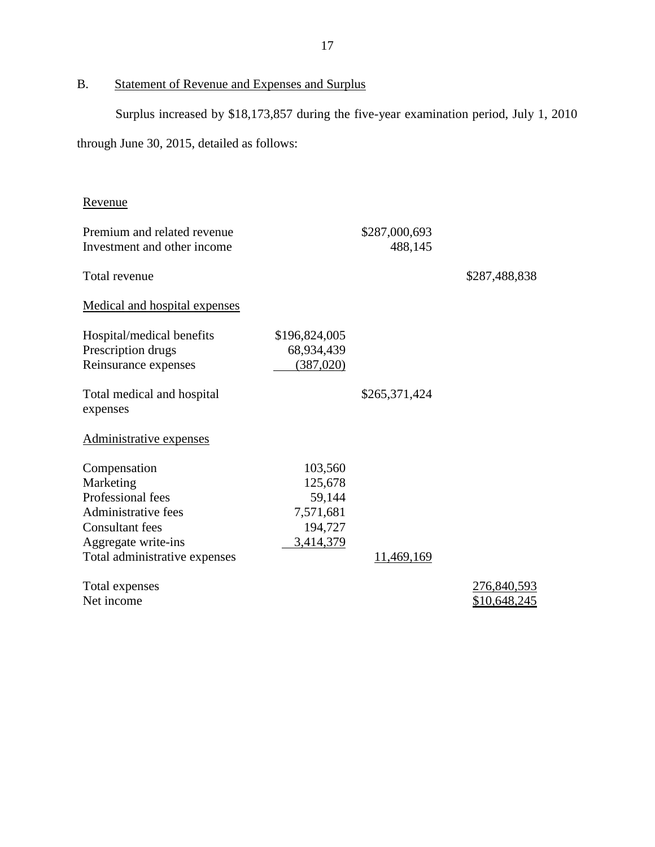B. Statement of Revenue and Expenses and Surplus

Surplus increased by \$18,173,857 during the five-year examination period, July 1, 2010

through June 30, 2015, detailed as follows:

| Revenue                                                                                                                                                 |                                                                   |                          |                             |
|---------------------------------------------------------------------------------------------------------------------------------------------------------|-------------------------------------------------------------------|--------------------------|-----------------------------|
| Premium and related revenue<br>Investment and other income                                                                                              |                                                                   | \$287,000,693<br>488,145 |                             |
| Total revenue                                                                                                                                           |                                                                   |                          | \$287,488,838               |
| Medical and hospital expenses                                                                                                                           |                                                                   |                          |                             |
| Hospital/medical benefits<br>Prescription drugs<br>Reinsurance expenses                                                                                 | \$196,824,005<br>68,934,439<br>(387, 020)                         |                          |                             |
| Total medical and hospital<br>expenses                                                                                                                  |                                                                   | \$265,371,424            |                             |
| Administrative expenses                                                                                                                                 |                                                                   |                          |                             |
| Compensation<br>Marketing<br>Professional fees<br>Administrative fees<br><b>Consultant fees</b><br>Aggregate write-ins<br>Total administrative expenses | 103,560<br>125,678<br>59,144<br>7,571,681<br>194,727<br>3,414,379 | 11,469,169               |                             |
| Total expenses<br>Net income                                                                                                                            |                                                                   |                          | 276,840,593<br>\$10,648,245 |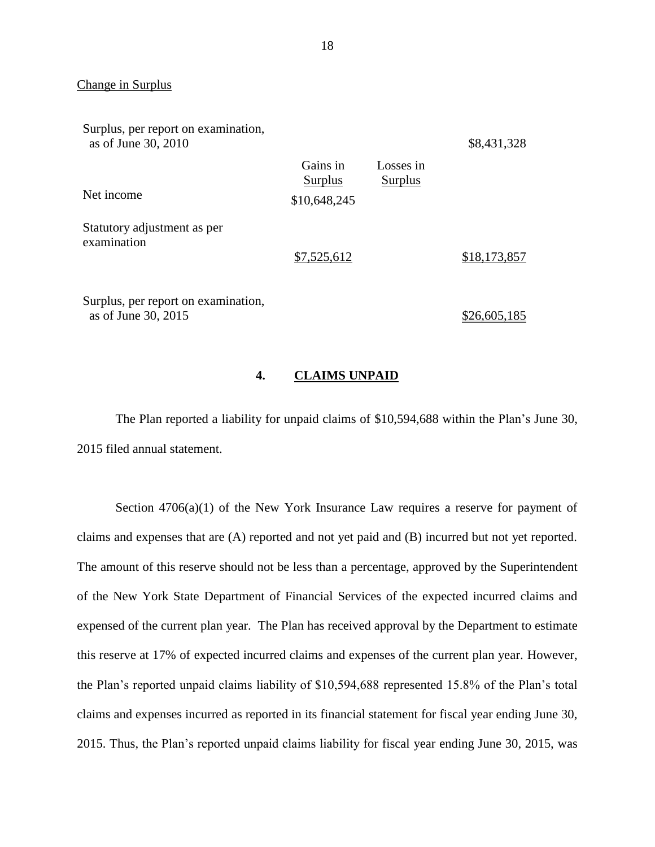| Surplus, per report on examination,<br>as of June 30, 2010 |                                     |                      | \$8,431,328  |
|------------------------------------------------------------|-------------------------------------|----------------------|--------------|
| Net income                                                 | Gains in<br>Surplus<br>\$10,648,245 | Losses in<br>Surplus |              |
| Statutory adjustment as per<br>examination                 | \$7,525,612                         |                      | \$18,173,857 |
| Surplus, per report on examination,<br>as of June 30, 2015 |                                     |                      | \$26,605,185 |

## **4. CLAIMS UNPAID**

 The Plan reported a liability for unpaid claims of \$10,594,688 within the Plan's June 30, 2015 filed annual statement.

Section 4706(a)(1) of the New York Insurance Law requires a reserve for payment of claims and expenses that are (A) reported and not yet paid and (B) incurred but not yet reported. The amount of this reserve should not be less than a percentage, approved by the Superintendent of the New York State Department of Financial Services of the expected incurred claims and expensed of the current plan year. The Plan has received approval by the Department to estimate this reserve at 17% of expected incurred claims and expenses of the current plan year. However, the Plan's reported unpaid claims liability of \$10,594,688 represented 15.8% of the Plan's total 2015. Thus, the Plan's reported unpaid claims liability for fiscal year ending June 30, 2015, was claims and expenses incurred as reported in its financial statement for fiscal year ending June 30,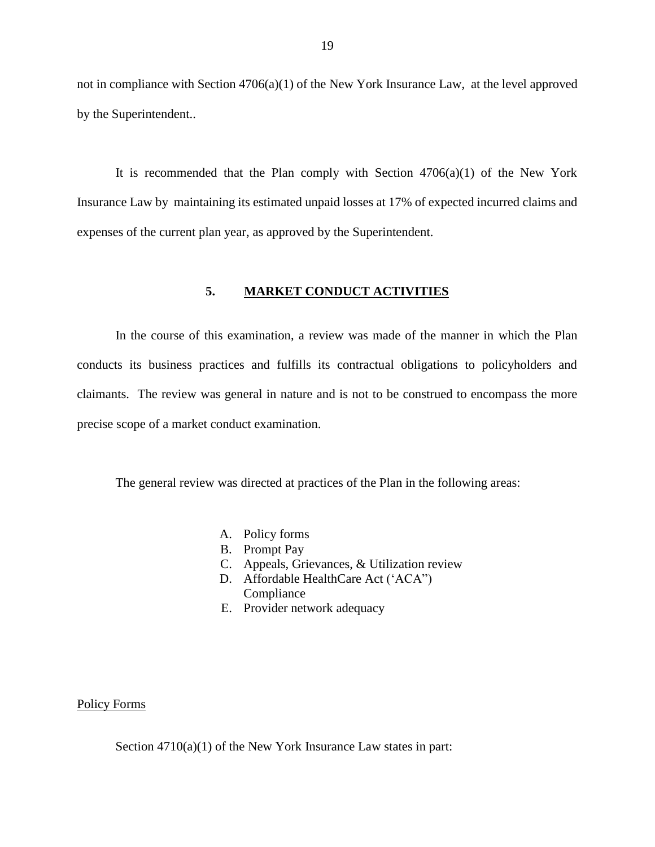<span id="page-20-0"></span> not in compliance with Section 4706(a)(1) of the New York Insurance Law, at the level approved by the Superintendent..

It is recommended that the Plan comply with Section  $4706(a)(1)$  of the New York Insurance Law by maintaining its estimated unpaid losses at 17% of expected incurred claims and expenses of the current plan year, as approved by the Superintendent.

## **5. MARKET CONDUCT ACTIVITIES**

 In the course of this examination, a review was made of the manner in which the Plan claimants. The review was general in nature and is not to be construed to encompass the more conducts its business practices and fulfills its contractual obligations to policyholders and precise scope of a market conduct examination.

The general review was directed at practices of the Plan in the following areas:

- A. Policy forms
- B. Prompt Pay
- C. Appeals, Grievances, & Utilization review
- D. Affordable HealthCare Act ('ACA") Compliance
- E. Provider network adequacy

#### Policy Forms

Section  $4710(a)(1)$  of the New York Insurance Law states in part: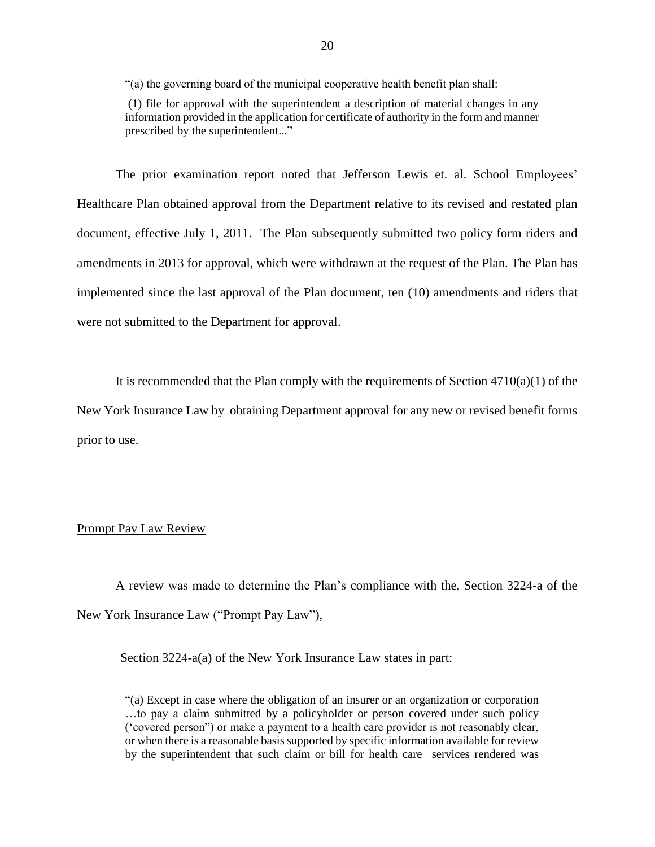"(a) the governing board of the municipal cooperative health benefit plan shall:

 (1) file for approval with the superintendent a description of material changes in any information provided in the application for certificate of authority in the form and manner prescribed by the superintendent..."

 The prior examination report noted that Jefferson Lewis et. al. School Employees' Healthcare Plan obtained approval from the Department relative to its revised and restated plan document, effective July 1, 2011. The Plan subsequently submitted two policy form riders and amendments in 2013 for approval, which were withdrawn at the request of the Plan. The Plan has were not submitted to the Department for approval. implemented since the last approval of the Plan document, ten (10) amendments and riders that

 New York Insurance Law by obtaining Department approval for any new or revised benefit forms It is recommended that the Plan comply with the requirements of Section  $4710(a)(1)$  of the prior to use.

## Prompt Pay Law Review

 A review was made to determine the Plan's compliance with the, Section 3224-a of the New York Insurance Law ("Prompt Pay Law"),

Section 3224-a(a) of the New York Insurance Law states in part:

 "(a) Except in case where the obligation of an insurer or an organization or corporation …to pay a claim submitted by a policyholder or person covered under such policy ('covered person") or make a payment to a health care provider is not reasonably clear, by the superintendent that such claim or bill for health care services rendered was or when there is a reasonable basis supported by specific information available for review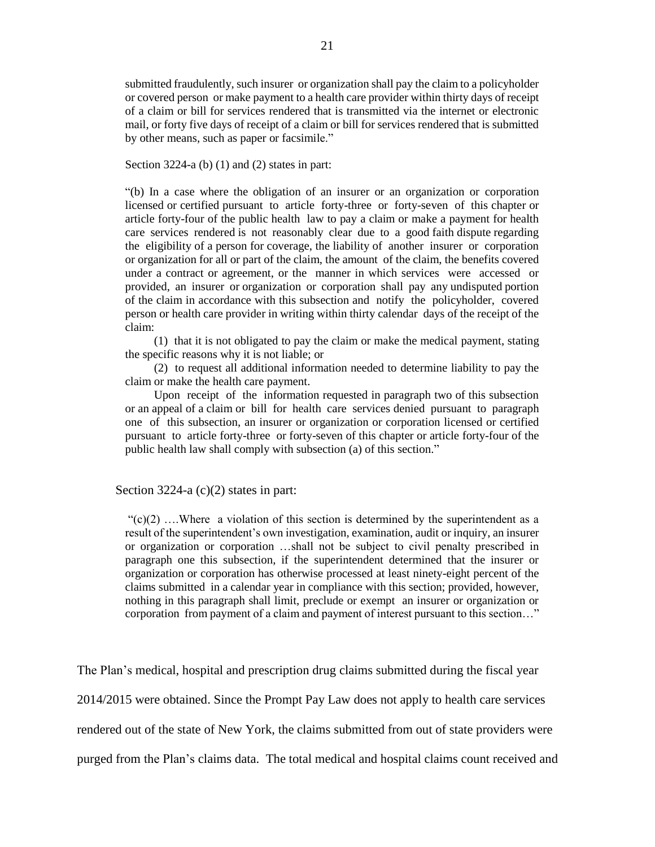submitted fraudulently, such insurer or organization shall pay the claim to a policyholder or covered person or make payment to a health care provider within thirty days of receipt of a claim or bill for services rendered that is transmitted via the internet or electronic mail, or forty five days of receipt of a claim or bill for services rendered that is submitted by other means, such as paper or facsimile."

Section 3224-a (b) (1) and (2) states in part:

 "(b) In a case where the obligation of an insurer or an organization or corporation licensed or certified pursuant to article forty-three or forty-seven of this chapter or article forty-four of the public health law to pay a claim or make a payment for health care services rendered is not reasonably clear due to a good faith dispute regarding the eligibility of a person for coverage, the liability of another insurer or corporation or organization for all or part of the claim, the amount of the claim, the benefits covered under a contract or agreement, or the manner in which services were accessed or provided, an insurer or organization or corporation shall pay any undisputed portion of the claim in accordance with this subsection and notify the policyholder, covered person or health care provider in writing within thirty calendar days of the receipt of the claim:

 (1) that it is not obligated to pay the claim or make the medical payment, stating the specific reasons why it is not liable; or

 (2) to request all additional information needed to determine liability to pay the claim or make the health care payment. claim or make the health care payment. Upon receipt of the information requested in paragraph two of this subsection

or an appeal of a claim or bill for health care services denied pursuant to paragraph or an appeal of a claim or bill for health care services denied pursuant to paragraph one of this subsection, an insurer or organization or corporation licensed or certified pursuant to article forty-three or forty-seven of this chapter or article forty-four of the public health law shall comply with subsection (a) of this section."

#### Section  $3224-a$  (c)(2) states in part:

 $\mathfrak{m}(c)(2)$  ....Where a violation of this section is determined by the superintendent as a result of the superintendent's own investigation, examination, audit or inquiry, an insurer or organization or corporation …shall not be subject to civil penalty prescribed in paragraph one this subsection, if the superintendent determined that the insurer or organization or corporation has otherwise processed at least ninety-eight percent of the claims submitted in a calendar year in compliance with this section; provided, however, nothing in this paragraph shall limit, preclude or exempt an insurer or organization or corporation from payment of a claim and payment of interest pursuant to this section…"

 rendered out of the state of New York, the claims submitted from out of state providers were The Plan's medical, hospital and prescription drug claims submitted during the fiscal year 2014/2015 were obtained. Since the Prompt Pay Law does not apply to health care services purged from the Plan's claims data. The total medical and hospital claims count received and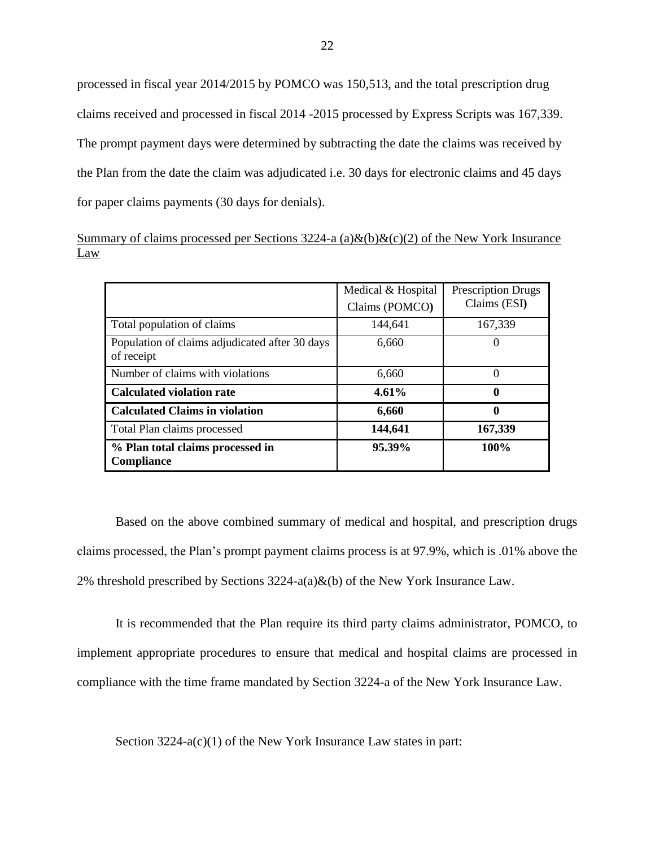the Plan from the date the claim was adjudicated i.e. 30 days for electronic claims and 45 days processed in fiscal year 2014/2015 by POMCO was 150,513, and the total prescription drug claims received and processed in fiscal 2014 -2015 processed by Express Scripts was 167,339. The prompt payment days were determined by subtracting the date the claims was received by for paper claims payments (30 days for denials).

|     |  | Summary of claims processed per Sections 3224-a (a)&(b)&(c)(2) of the New York Insurance |  |  |  |
|-----|--|------------------------------------------------------------------------------------------|--|--|--|
| Law |  |                                                                                          |  |  |  |

|                                                              | Medical & Hospital<br>Claims (POMCO) | <b>Prescription Drugs</b><br>Claims (ESI) |
|--------------------------------------------------------------|--------------------------------------|-------------------------------------------|
| Total population of claims                                   | 144,641                              | 167,339                                   |
| Population of claims adjudicated after 30 days<br>of receipt | 6,660                                | $\theta$                                  |
| Number of claims with violations                             | 6,660                                | $\Omega$                                  |
| <b>Calculated violation rate</b>                             | 4.61%                                | 0                                         |
| <b>Calculated Claims in violation</b>                        | 6,660                                | $\mathbf{0}$                              |
| Total Plan claims processed                                  | 144,641                              | 167,339                                   |
| % Plan total claims processed in<br><b>Compliance</b>        | 95.39%                               | 100%                                      |

 Based on the above combined summary of medical and hospital, and prescription drugs claims processed, the Plan's prompt payment claims process is at 97.9%, which is .01% above the 2% threshold prescribed by Sections  $3224-a(a) \& (b)$  of the New York Insurance Law.

 It is recommended that the Plan require its third party claims administrator, POMCO, to implement appropriate procedures to ensure that medical and hospital claims are processed in compliance with the time frame mandated by Section 3224-a of the New York Insurance Law.

Section 3224-a(c)(1) of the New York Insurance Law states in part: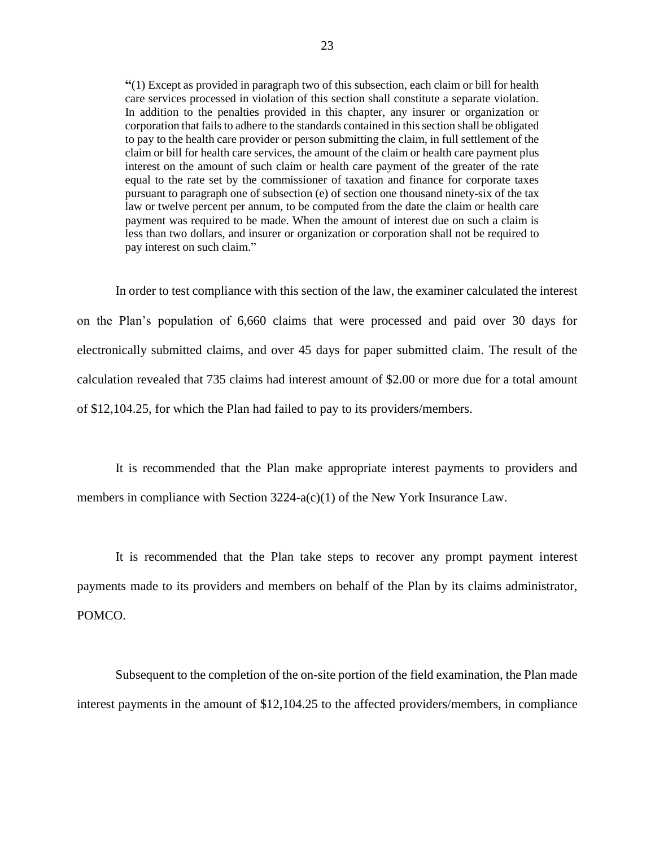**"**(1) Except as provided in paragraph two of this subsection, each claim or bill for health care services processed in violation of this section shall constitute a separate violation. In addition to the penalties provided in this chapter, any insurer or organization or corporation that fails to adhere to the standards contained in this section shall be obligated to pay to the health care provider or person submitting the claim, in full settlement of the claim or bill for health care services, the amount of the claim or health care payment plus interest on the amount of such claim or health care payment of the greater of the rate equal to the rate set by the commissioner of taxation and finance for corporate taxes pursuant to paragraph one of subsection (e) of section one thousand ninety-six of the tax law or twelve percent per annum, to be computed from the date the claim or health care payment was required to be made. When the amount of interest due on such a claim is less than two dollars, and insurer or organization or corporation shall not be required to pay interest on such claim."

 In order to test compliance with this section of the law, the examiner calculated the interest electronically submitted claims, and over 45 days for paper submitted claim. The result of the calculation revealed that 735 claims had interest amount of \$2.00 or more due for a total amount of [\\$12,104.25,](https://12,104.25) for which the Plan had failed to pay to its providers/members. on the Plan's population of 6,660 claims that were processed and paid over 30 days for

members in compliance with Section 3224-a(c)(1) of the New York Insurance Law. It is recommended that the Plan make appropriate interest payments to providers and

 payments made to its providers and members on behalf of the Plan by its claims administrator, It is recommended that the Plan take steps to recover any prompt payment interest POMCO.

 interest payments in the amount of [\\$12,104.25](https://12,104.25) to the affected providers/members, in compliance Subsequent to the completion of the on-site portion of the field examination, the Plan made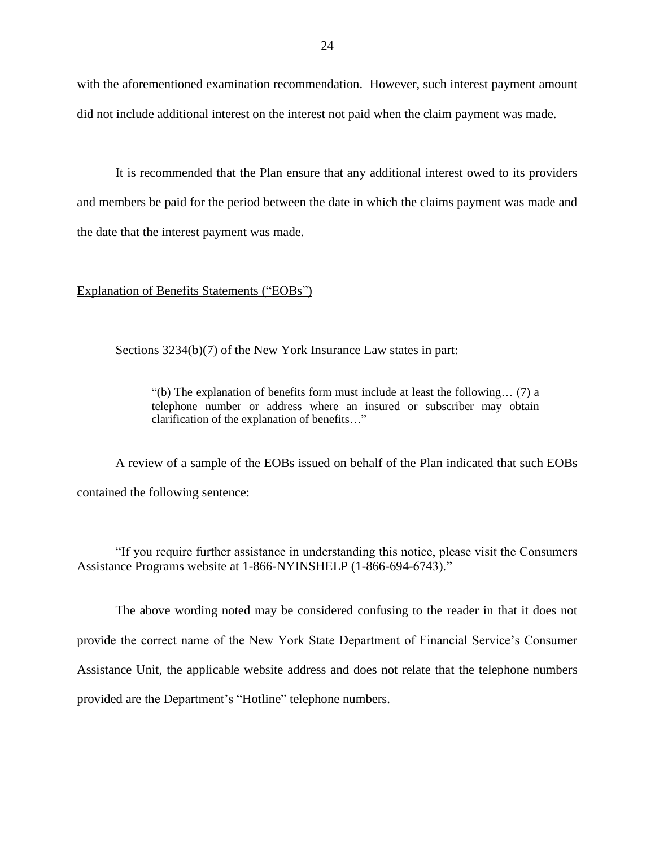with the aforementioned examination recommendation. However, such interest payment amount did not include additional interest on the interest not paid when the claim payment was made.

 It is recommended that the Plan ensure that any additional interest owed to its providers and members be paid for the period between the date in which the claims payment was made and the date that the interest payment was made.

## Explanation of Benefits Statements ("EOBs")

Sections 3234(b)(7) of the New York Insurance Law states in part:

 "(b) The explanation of benefits form must include at least the following… (7) a telephone number or address where an insured or subscriber may obtain clarification of the explanation of benefits…"

 A review of a sample of the EOBs issued on behalf of the Plan indicated that such EOBs contained the following sentence:

 "If you require further assistance in understanding this notice, please visit the Consumers Assistance Programs website at 1-866-NYINSHELP (1-866-694-6743)."

 The above wording noted may be considered confusing to the reader in that it does not Assistance Unit, the applicable website address and does not relate that the telephone numbers provided are the Department's "Hotline" telephone numbers. provide the correct name of the New York State Department of Financial Service's Consumer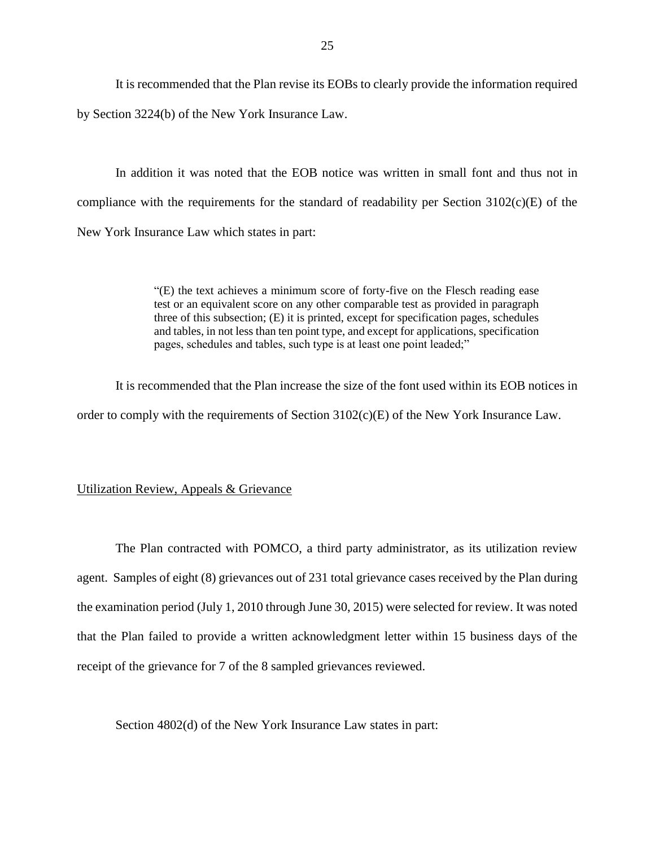It is recommended that the Plan revise its EOBs to clearly provide the information required by Section 3224(b) of the New York Insurance Law.

 In addition it was noted that the EOB notice was written in small font and thus not in compliance with the requirements for the standard of readability per Section 3102(c)(E) of the New York Insurance Law which states in part:

> "(E) the text achieves a minimum score of forty-five on the Flesch reading ease test or an equivalent score on any other comparable test as provided in paragraph three of this subsection; (E) it is printed, except for specification pages, schedules and tables, in not less than ten point type, and except for applications, specification pages, schedules and tables, such type is at least one point leaded;"

 It is recommended that the Plan increase the size of the font used within its EOB notices in order to comply with the requirements of Section 3102(c)(E) of the New York Insurance Law.

#### Utilization Review, Appeals & Grievance

 The Plan contracted with POMCO, a third party administrator, as its utilization review agent. Samples of eight (8) grievances out of 231 total grievance cases received by the Plan during the examination period (July 1, 2010 through June 30, 2015) were selected for review. It was noted that the Plan failed to provide a written acknowledgment letter within 15 business days of the receipt of the grievance for 7 of the 8 sampled grievances reviewed.

Section 4802(d) of the New York Insurance Law states in part: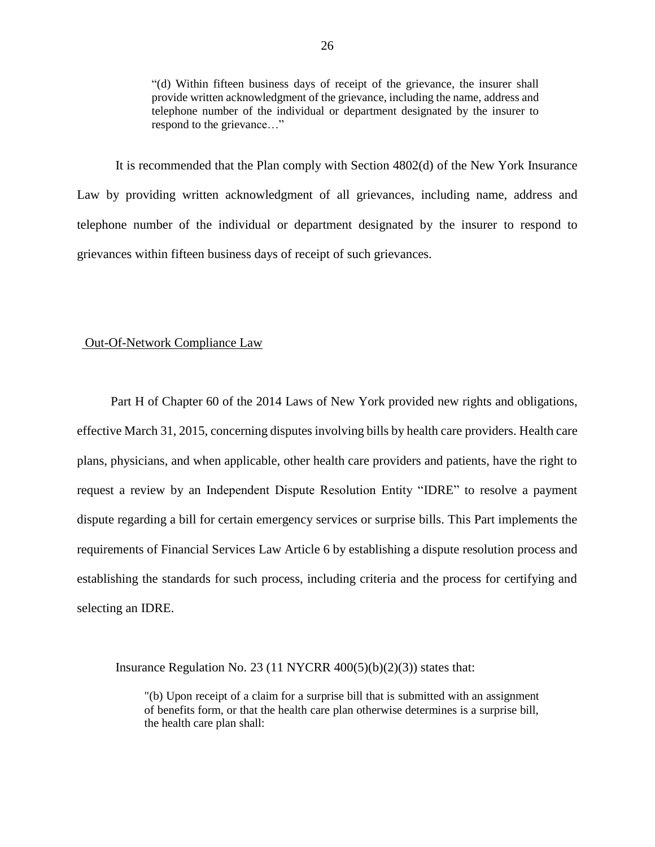"(d) Within fifteen business days of receipt of the grievance, the insurer shall provide written acknowledgment of the grievance, including the name, address and telephone number of the individual or department designated by the insurer to respond to the grievance…"

 Law by providing written acknowledgment of all grievances, including name, address and telephone number of the individual or department designated by the insurer to respond to grievances within fifteen business days of receipt of such grievances. It is recommended that the Plan comply with Section 4802(d) of the New York Insurance

### Out-Of-Network Compliance Law

 Part H of Chapter 60 of the 2014 Laws of New York provided new rights and obligations, effective March 31, 2015, concerning disputes involving bills by health care providers. Health care plans, physicians, and when applicable, other health care providers and patients, have the right to request a review by an Independent Dispute Resolution Entity "IDRE" to resolve a payment dispute regarding a bill for certain emergency services or surprise bills. This Part implements the requirements of Financial Services Law Article 6 by establishing a dispute resolution process and establishing the standards for such process, including criteria and the process for certifying and selecting an IDRE.

Insurance Regulation No. 23 (11 NYCRR 400(5)(b)(2)(3)) states that:

 "(b) Upon receipt of a claim for a surprise bill that is submitted with an assignment of benefits form, or that the health care plan otherwise determines is a surprise bill, the health care plan shall: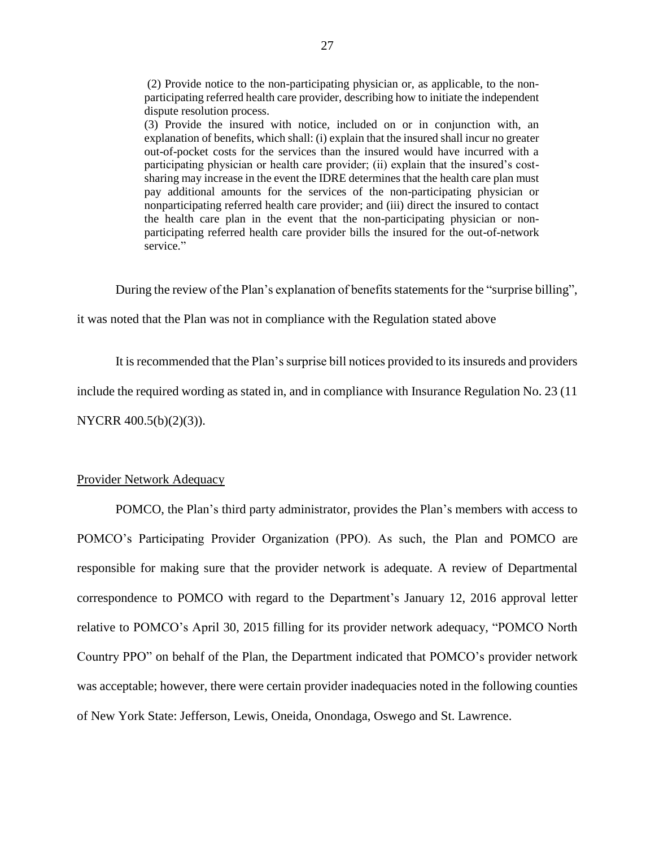(2) Provide notice to the non-participating physician or, as applicable, to the non- participating referred health care provider, describing how to initiate the independent dispute resolution process.

 (3) Provide the insured with notice, included on or in conjunction with, an explanation of benefits, which shall: (i) explain that the insured shall incur no greater out-of-pocket costs for the services than the insured would have incurred with a participating physician or health care provider; (ii) explain that the insured's cost- sharing may increase in the event the IDRE determines that the health care plan must pay additional amounts for the services of the non-participating physician or nonparticipating referred health care provider; and (iii) direct the insured to contact the health care plan in the event that the non-participating physician or nonparticipating referred health care provider bills the insured for the out-of-network service."

During the review of the Plan's explanation of benefits statements for the "surprise billing",

it was noted that the Plan was not in compliance with the Regulation stated above

 include the required wording as stated in, and in compliance with Insurance Regulation No. 23 (11 It is recommended that the Plan's surprise bill notices provided to its insureds and providers

NYCRR 400.5(b)(2)(3)).

### Provider Network Adequacy

 POMCO, the Plan's third party administrator, provides the Plan's members with access to responsible for making sure that the provider network is adequate. A review of Departmental correspondence to POMCO with regard to the Department's January 12, 2016 approval letter relative to POMCO's April 30, 2015 filling for its provider network adequacy, "POMCO North Country PPO" on behalf of the Plan, the Department indicated that POMCO's provider network was acceptable; however, there were certain provider inadequacies noted in the following counties of New York State: Jefferson, Lewis, Oneida, Onondaga, Oswego and St. Lawrence. POMCO's Participating Provider Organization (PPO). As such, the Plan and POMCO are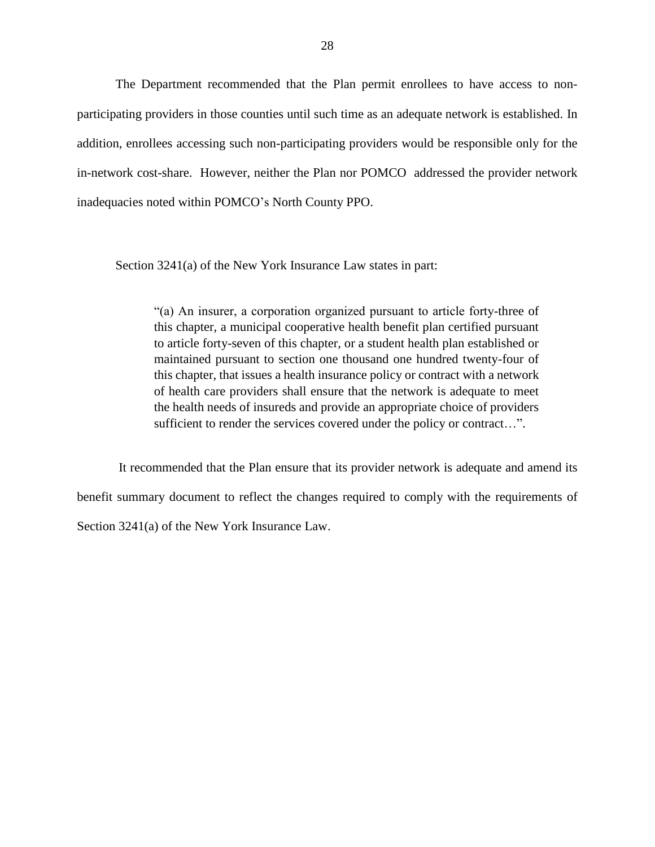The Department recommended that the Plan permit enrollees to have access to non- participating providers in those counties until such time as an adequate network is established. In addition, enrollees accessing such non-participating providers would be responsible only for the in-network cost-share. However, neither the Plan nor POMCO addressed the provider network inadequacies noted within POMCO's North County PPO.

Section 3241(a) of the New York Insurance Law states in part:

 "(a) An insurer, a corporation organized pursuant to article forty-three of maintained pursuant to section one thousand one hundred twenty-four of this chapter, that issues a health insurance policy or contract with a network of health care providers shall ensure that the network is adequate to meet the health needs of insureds and provide an appropriate choice of providers sufficient to render the services covered under the policy or contract…". this chapter, a municipal cooperative health benefit plan certified pursuant to article forty-seven of this chapter, or a student health plan established or

 It recommended that the Plan ensure that its provider network is adequate and amend its benefit summary document to reflect the changes required to comply with the requirements of Section 3241(a) of the New York Insurance Law.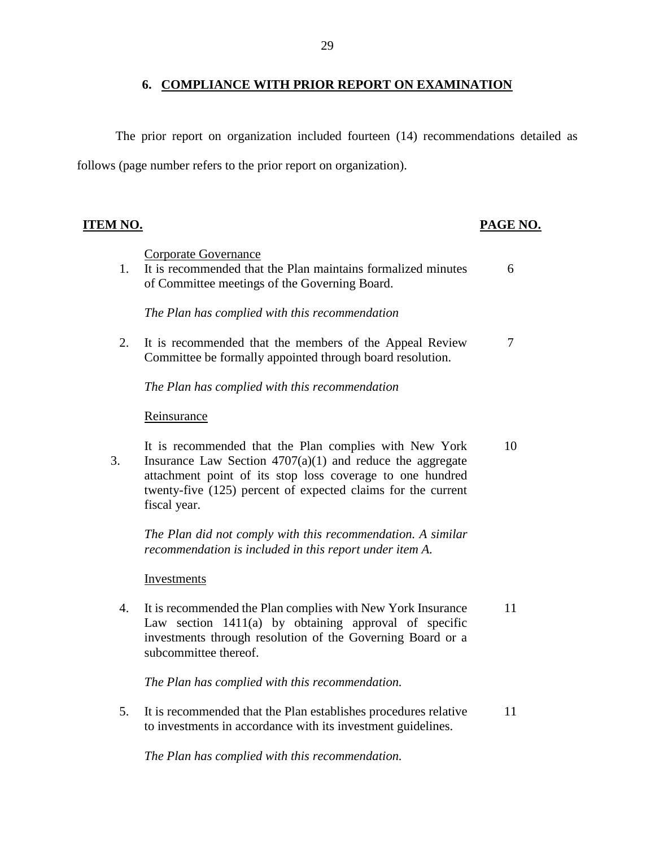## **6. COMPLIANCE WITH PRIOR REPORT ON EXAMINATION**

<span id="page-30-0"></span> The prior report on organization included fourteen (14) recommendations detailed as follows (page number refers to the prior report on organization).

## PAGE NO.

Corporate Governance

| It is recommended that the Plan maintains formalized minutes |  |
|--------------------------------------------------------------|--|
| of Committee meetings of the Governing Board.                |  |

*The Plan has complied with this recommendation* 

2. It is recommended that the members of the Appeal Review  $7$ Committee be formally appointed through board resolution.

*The Plan has complied with this recommendation* 

Reinsurance

 attachment point of its stop loss coverage to one hundred twenty-five (125) percent of expected claims for the current It is recommended that the Plan complies with New York 10 3. Insurance Law Section 4707(a)(1) and reduce the aggregate fiscal year.

 *The Plan did not comply with this recommendation. A similar recommendation is included in this report under item A.* 

## Investments

 Law section 1411(a) by obtaining approval of specific investments through resolution of the Governing Board or a 4. It is recommended the Plan complies with New York Insurance 11 subcommittee thereof.

*The Plan has complied with this recommendation.* 

5. It is recommended that the Plan establishes procedures relative 11 to investments in accordance with its investment guidelines.

*The Plan has complied with this recommendation.*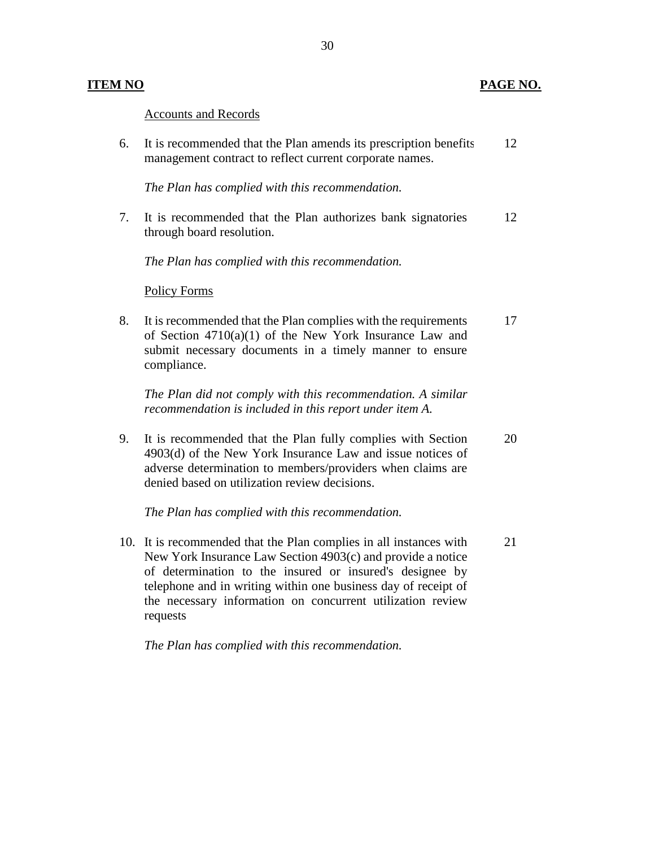## **ITEM NO. PAGE NO. PAGE NO.**

## Accounts and Records

 6. It is recommended that the Plan amends its prescription benefits 12 management contract to reflect current corporate names.

*The Plan has complied with this recommendation.* 

7. It is recommended that the Plan authorizes bank signatories 12 through board resolution.

*The Plan has complied with this recommendation.* 

### Policy Forms

 submit necessary documents in a timely manner to ensure 8. It is recommended that the Plan complies with the requirements 17 of Section 4710(a)(1) of the New York Insurance Law and compliance.

 *The Plan did not comply with this recommendation. A similar recommendation is included in this report under item A.* 

 adverse determination to members/providers when claims are 9. It is recommended that the Plan fully complies with Section 20 4903(d) of the New York Insurance Law and issue notices of denied based on utilization review decisions.

*The Plan has complied with this recommendation.* 

 New York Insurance Law Section 4903(c) and provide a notice of determination to the insured or insured's designee by telephone and in writing within one business day of receipt of 10. It is recommended that the Plan complies in all instances with 21 the necessary information on concurrent utilization review requests

*The Plan has complied with this recommendation.*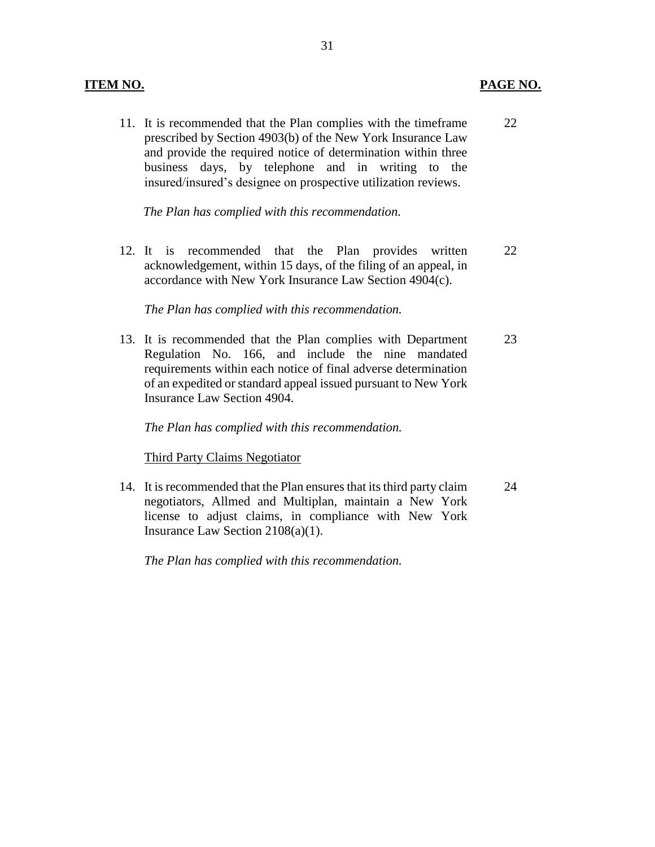## **ITEM NO. PAGE NO. PAGE NO.**

 prescribed by Section 4903(b) of the New York Insurance Law and provide the required notice of determination within three business days, by telephone and in writing to the 11. It is recommended that the Plan complies with the timeframe 22 insured/insured's designee on prospective utilization reviews.

*The Plan has complied with this recommendation.* 

12. It is recommended that the Plan provides written 22 acknowledgement, within 15 days, of the filing of an appeal, in accordance with New York Insurance Law Section 4904(c).

*The Plan has complied with this recommendation.* 

 Regulation No. 166, and include the nine mandated requirements within each notice of final adverse determination 13. It is recommended that the Plan complies with Department 23 of an expedited or standard appeal issued pursuant to New York Insurance Law Section 4904.

*The Plan has complied with this recommendation.* 

Third Party Claims Negotiator

 14. It is recommended that the Plan ensures that its third party claim 24 license to adjust claims, in compliance with New York negotiators, Allmed and Multiplan, maintain a New York Insurance Law Section 2108(a)(1).

*The Plan has complied with this recommendation.*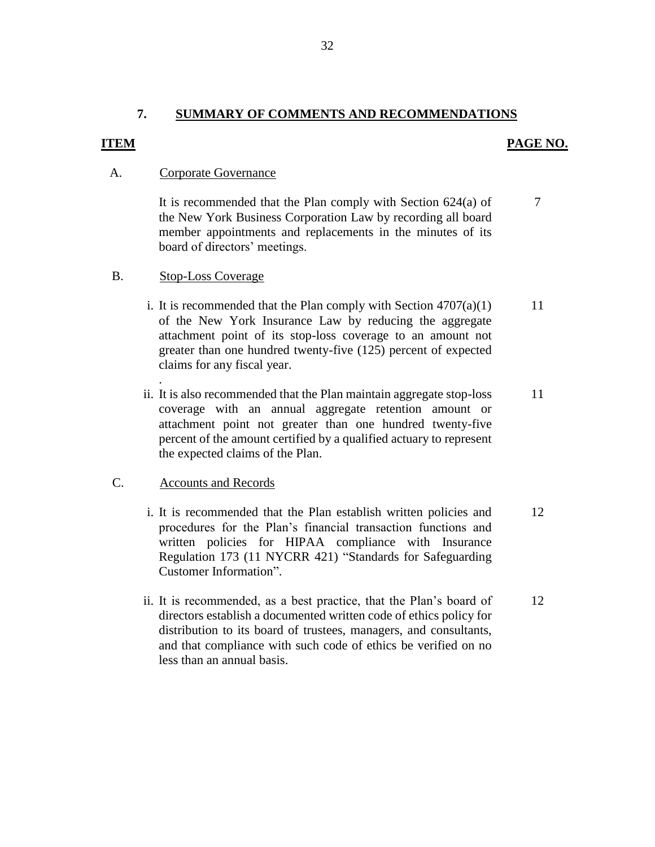## **7. SUMMARY OF COMMENTS AND RECOMMENDATIONS**

## **ITEM** PAGE NO.

7

## A. Corporate Governance

It is recommended that the Plan comply with Section 624(a) of the New York Business Corporation Law by recording all board member appointments and replacements in the minutes of its board of directors' meetings.

B. Stop-Loss Coverage

.

- of the New York Insurance Law by reducing the aggregate attachment point of its stop-loss coverage to an amount not greater than one hundred twenty-five (125) percent of expected i. It is recommended that the Plan comply with Section 4707(a)(1) claims for any fiscal year. 11
- percent of the amount certified by a qualified actuary to represent ii. It is also recommended that the Plan maintain aggregate stop-loss coverage with an annual aggregate retention amount or attachment point not greater than one hundred twenty-five the expected claims of the Plan. 11

## C. Accounts and Records

- i. It is recommended that the Plan establish written policies and procedures for the Plan's financial transaction functions and written policies for HIPAA compliance with Insurance Regulation 173 (11 NYCRR 421) "Standards for Safeguarding Customer Information". 12
- ii. It is recommended, as a best practice, that the Plan's board of directors establish a documented written code of ethics policy for and that compliance with such code of ethics be verified on no distribution to its board of trustees, managers, and consultants, less than an annual basis.

12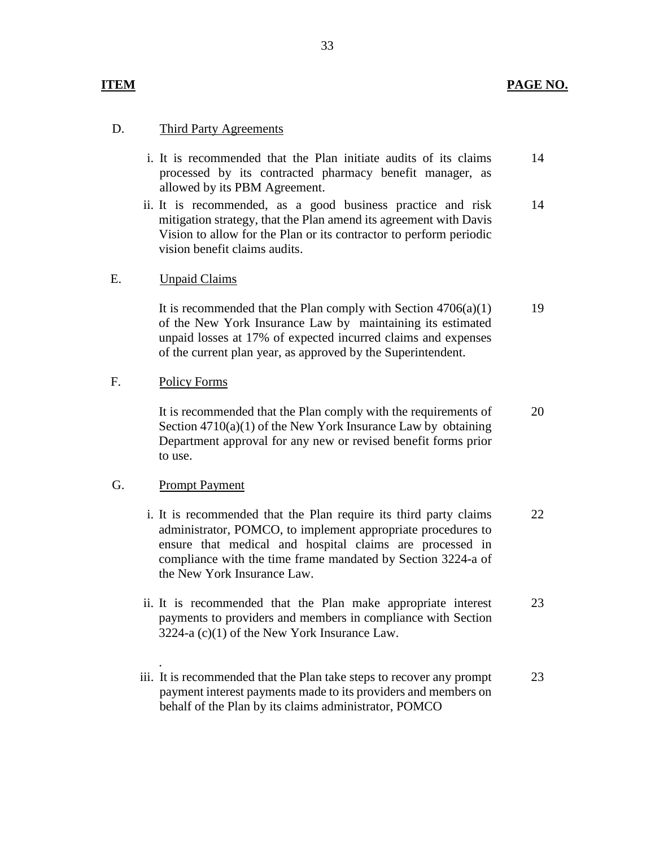## **ITEM PAGE NO.**

## D. Third Party Agreements

- i. It is recommended that the Plan initiate audits of its claims processed by its contracted pharmacy benefit manager, as allowed by its PBM Agreement. 14
- ii. It is recommended, as a good business practice and risk mitigation strategy, that the Plan amend its agreement with Davis Vision to allow for the Plan or its contractor to perform periodic vision benefit claims audits. 14

## E. Unpaid Claims

 of the New York Insurance Law by maintaining its estimated It is recommended that the Plan comply with Section  $4706(a)(1)$ unpaid losses at 17% of expected incurred claims and expenses of the current plan year, as approved by the Superintendent. 19

## F. Policy Forms

 Section 4710(a)(1) of the New York Insurance Law by obtaining Department approval for any new or revised benefit forms prior It is recommended that the Plan comply with the requirements of to use. 20

## G. Prompt Payment

.

- i. It is recommended that the Plan require its third party claims ensure that medical and hospital claims are processed in administrator, POMCO, to implement appropriate procedures to compliance with the time frame mandated by Section 3224-a of the New York Insurance Law. 22
- ii. It is recommended that the Plan make appropriate interest payments to providers and members in compliance with Section  $3224-a$  (c)(1) of the New York Insurance Law. 23
- iii. It is recommended that the Plan take steps to recover any prompt payment interest payments made to its providers and members on behalf of the Plan by its claims administrator, POMCO 23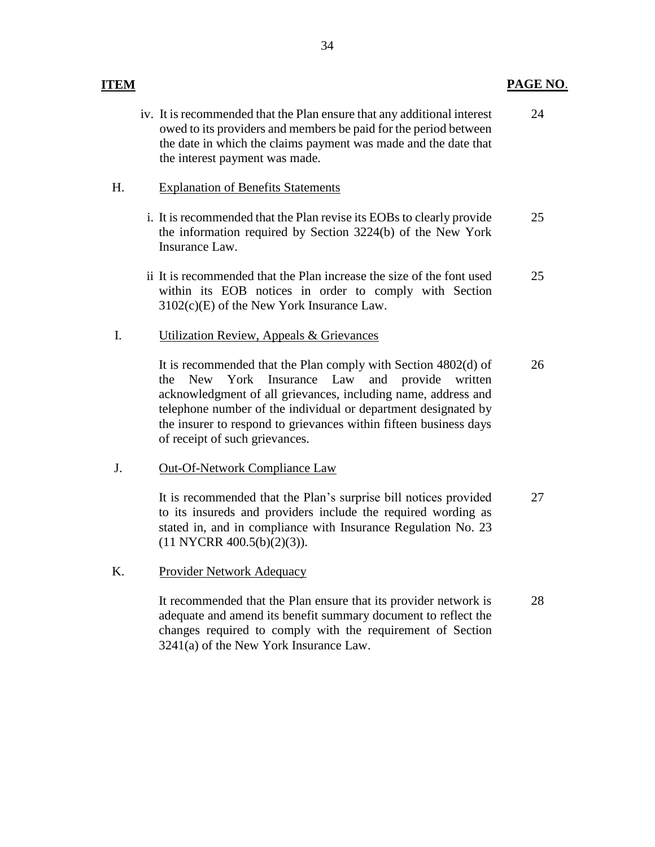## **ITEM PAGE NO**.

 iv. It is recommended that the Plan ensure that any additional interest owed to its providers and members be paid for the period between the date in which the claims payment was made and the date that the interest payment was made. 24

## H. Explanation of Benefits Statements

- i. It is recommended that the Plan revise its EOBs to clearly provide the information required by Section 3224(b) of the New York Insurance Law. 25
- within its EOB notices in order to comply with Section ii It is recommended that the Plan increase the size of the font used 3102(c)(E) of the New York Insurance Law. 25

## I. Utilization Review, Appeals & Grievances

 the New York Insurance Law and provide written telephone number of the individual or department designated by It is recommended that the Plan comply with Section 4802(d) of acknowledgment of all grievances, including name, address and the insurer to respond to grievances within fifteen business days of receipt of such grievances. 26

## J. Out-Of-Network Compliance Law

 to its insureds and providers include the required wording as It is recommended that the Plan's surprise bill notices provided stated in, and in compliance with Insurance Regulation No. 23 (11 NYCRR 400.5(b)(2)(3)). 27

K. Provider Network Adequacy

 3241(a) of the New York Insurance Law. It recommended that the Plan ensure that its provider network is adequate and amend its benefit summary document to reflect the changes required to comply with the requirement of Section 28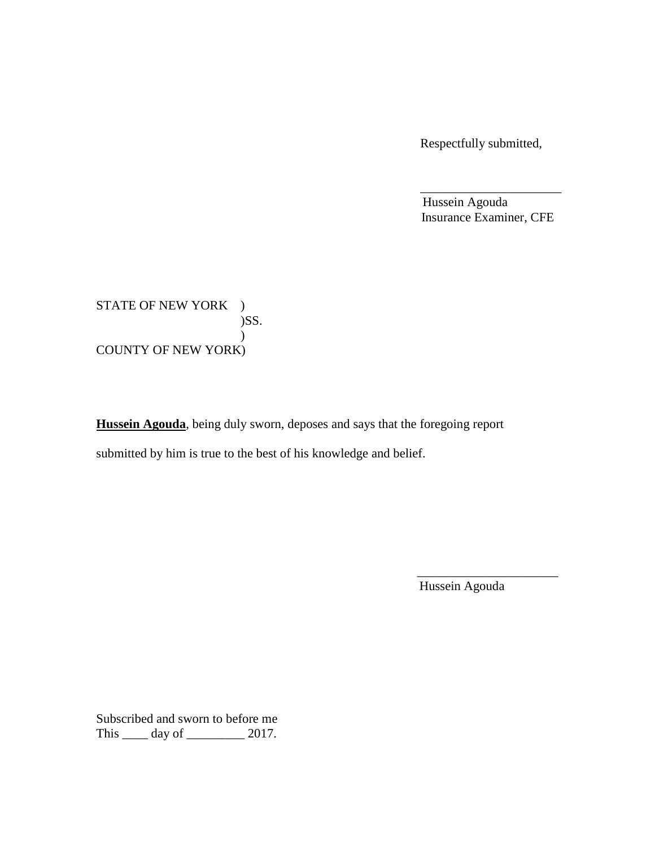Respectfully submitted,

Hussein Agouda Insurance Examiner, CFE

\_\_\_\_\_\_\_\_\_\_\_\_\_\_\_\_\_\_\_\_\_\_

 COUNTY OF NEW YORK) STATE OF NEW YORK ) )SS.  $\mathcal{L}$ 

 **Hussein Agouda**, being duly sworn, deposes and says that the foregoing report submitted by him is true to the best of his knowledge and belief.

Hussein Agouda

\_\_\_\_\_\_\_\_\_\_\_\_\_\_\_\_\_\_\_\_\_\_

Subscribed and sworn to before me This \_\_\_\_\_\_ day of \_\_\_\_\_\_\_\_\_\_ 2017.